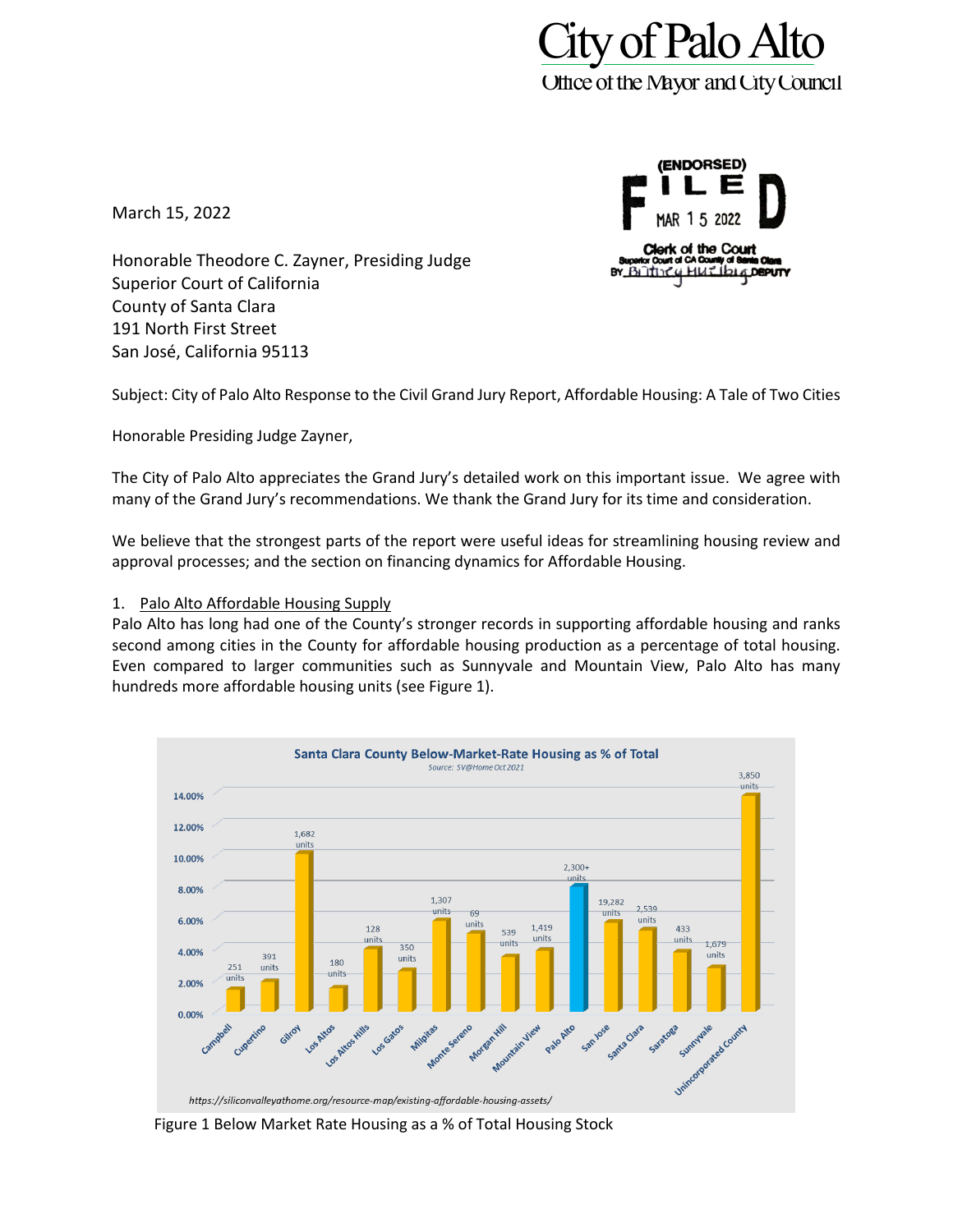

March 15, 2022

(ENDORSED) 1.5 Clerk of the Court BY BLITTING **bi4DEPUTY** 

Honorable Theodore C. Zayner, Presiding Judge Superior Court of California County of Santa Clara 191 North First Street San José, California 95113

Subject: City of Palo Alto Response to the Civil Grand Jury Report, Affordable Housing: A Tale of Two Cities

Honorable Presiding Judge Zayner,

The City of Palo Alto appreciates the Grand Jury's detailed work on this important issue. We agree with many of the Grand Jury's recommendations. We thank the Grand Jury for its time and consideration.

We believe that the strongest parts of the report were useful ideas for streamlining housing review and approval processes; and the section on financing dynamics for Affordable Housing.

#### 1. Palo Alto Affordable Housing Supply

Palo Alto has long had one of the County's stronger records in supporting affordable housing and ranks second among cities in the County for affordable housing production as a percentage of total housing. Even compared to larger communities such as Sunnyvale and Mountain View, Palo Alto has many hundreds more affordable housing units (see Figure 1).



Figure 1 Below Market Rate Housing as a % of Total Housing Stock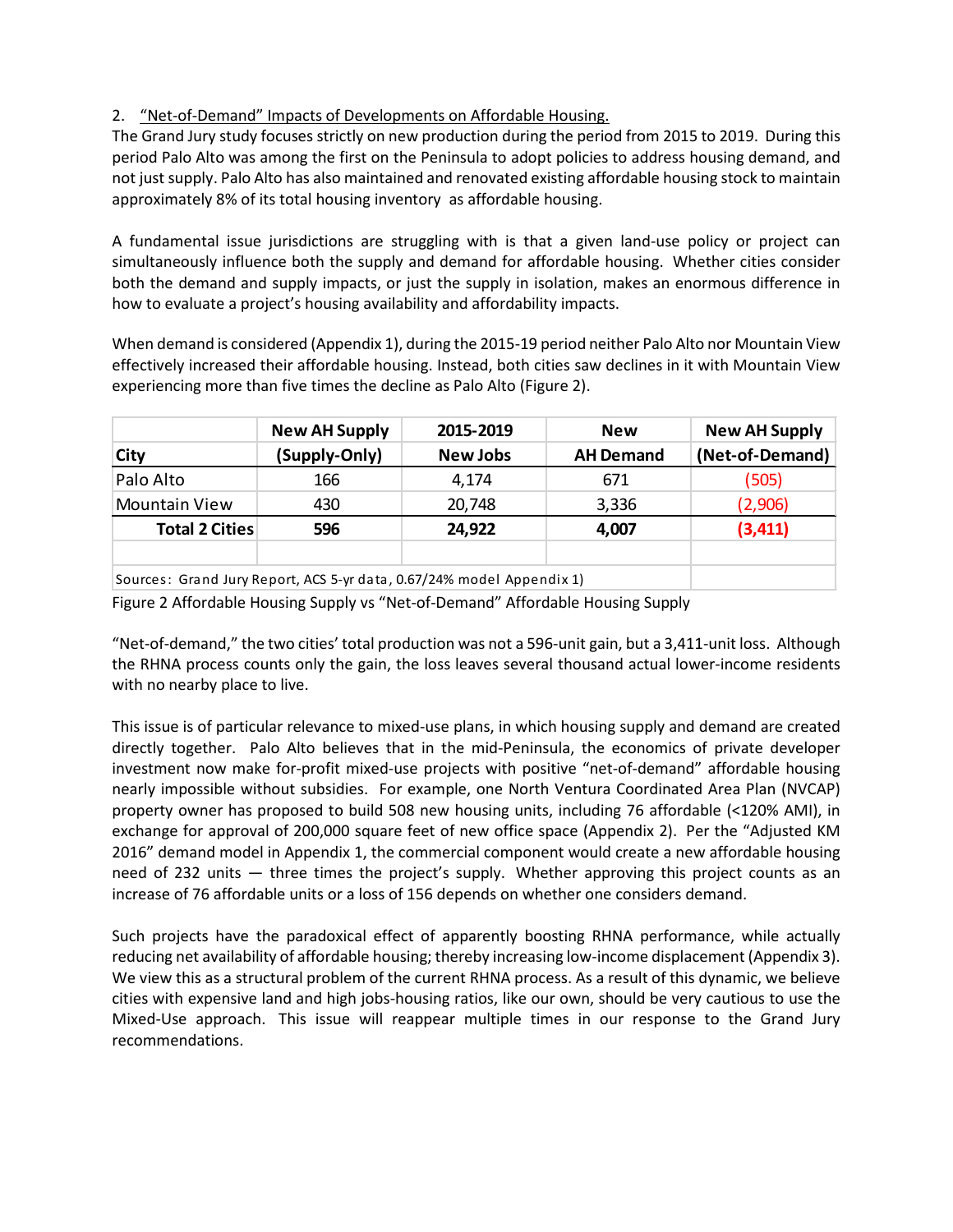# 2. "Net-of-Demand" Impacts of Developments on Affordable Housing.

The Grand Jury study focuses strictly on new production during the period from 2015 to 2019. During this period Palo Alto was among the first on the Peninsula to adopt policies to address housing demand, and not just supply. Palo Alto has also maintained and renovated existing affordable housing stock to maintain approximately 8% of its total housing inventory as affordable housing.

A fundamental issue jurisdictions are struggling with is that a given land-use policy or project can simultaneously influence both the supply and demand for affordable housing. Whether cities consider both the demand and supply impacts, or just the supply in isolation, makes an enormous difference in how to evaluate a project's housing availability and affordability impacts.

When demand is considered (Appendix 1), during the 2015-19 period neither Palo Alto nor Mountain View effectively increased their affordable housing. Instead, both cities saw declines in it with Mountain View experiencing more than five times the decline as Palo Alto (Figure 2).

|                                                                       | <b>New AH Supply</b> | 2015-2019       | <b>New</b>       | <b>New AH Supply</b> |  |  |
|-----------------------------------------------------------------------|----------------------|-----------------|------------------|----------------------|--|--|
| ∣City                                                                 | (Supply-Only)        | <b>New Jobs</b> | <b>AH Demand</b> | (Net-of-Demand)      |  |  |
| Palo Alto                                                             | 166                  | 4,174           | 671              | (505)                |  |  |
| <b>Mountain View</b>                                                  | 430                  | 20,748          | 3,336            | (2,906)              |  |  |
| <b>Total 2 Cities</b>                                                 | 596                  | 24,922          | 4,007            | (3, 411)             |  |  |
|                                                                       |                      |                 |                  |                      |  |  |
| Sources: Grand Jury Report, ACS 5-yr data, 0.67/24% model Appendix 1) |                      |                 |                  |                      |  |  |

Figure 2 Affordable Housing Supply vs "Net-of-Demand" Affordable Housing Supply

"Net-of-demand," the two cities' total production was not a 596-unit gain, but a 3,411-unit loss. Although the RHNA process counts only the gain, the loss leaves several thousand actual lower-income residents with no nearby place to live.

This issue is of particular relevance to mixed-use plans, in which housing supply and demand are created directly together. Palo Alto believes that in the mid-Peninsula, the economics of private developer investment now make for-profit mixed-use projects with positive "net-of-demand" affordable housing nearly impossible without subsidies. For example, one North Ventura Coordinated Area Plan (NVCAP) property owner has proposed to build 508 new housing units, including 76 affordable (<120% AMI), in exchange for approval of 200,000 square feet of new office space (Appendix 2). Per the "Adjusted KM 2016" demand model in Appendix 1, the commercial component would create a new affordable housing need of 232 units — three times the project's supply. Whether approving this project counts as an increase of 76 affordable units or a loss of 156 depends on whether one considers demand.

Such projects have the paradoxical effect of apparently boosting RHNA performance, while actually reducing net availability of affordable housing; thereby increasing low-income displacement (Appendix 3). We view this as a structural problem of the current RHNA process. As a result of this dynamic, we believe cities with expensive land and high jobs-housing ratios, like our own, should be very cautious to use the Mixed-Use approach. This issue will reappear multiple times in our response to the Grand Jury recommendations.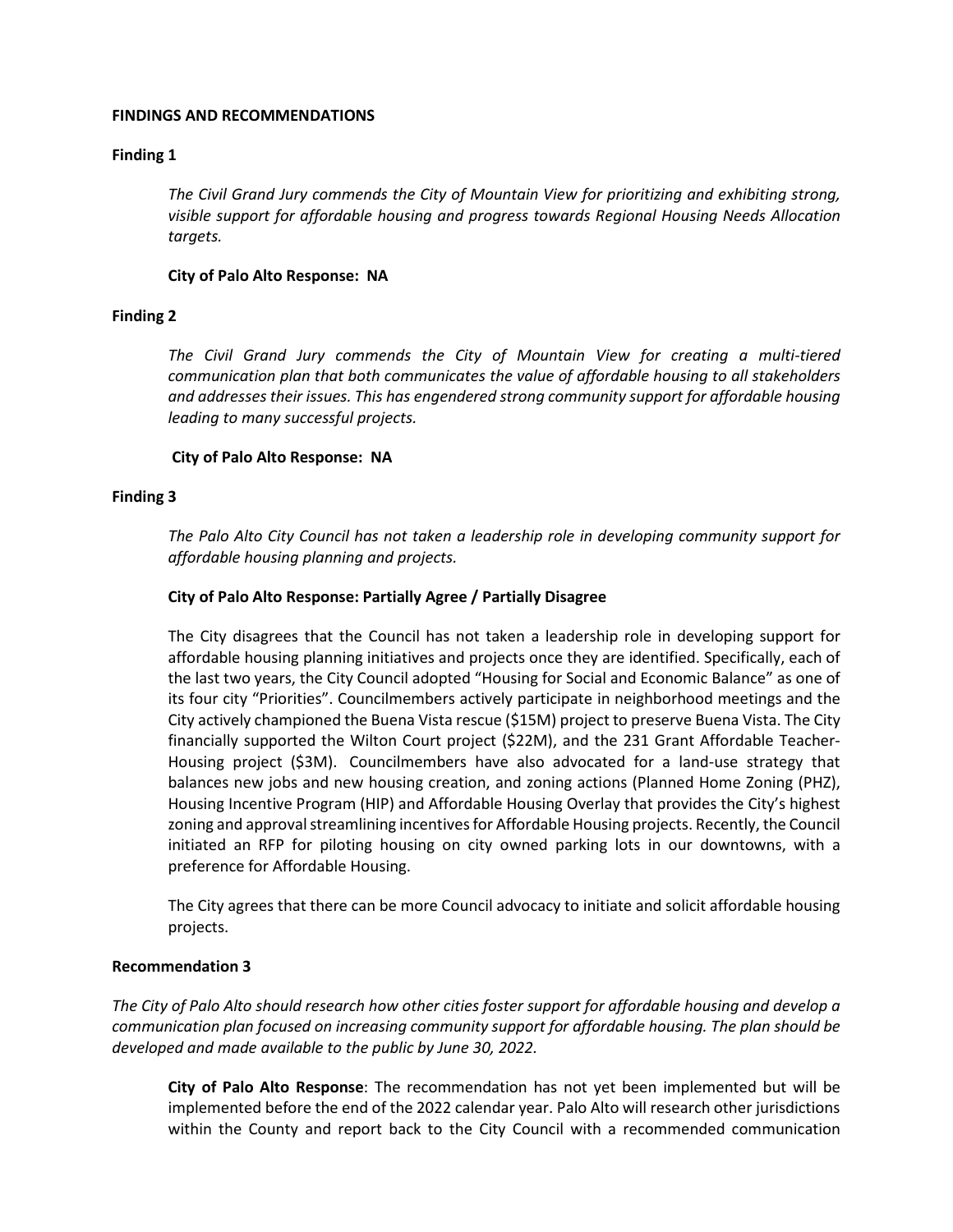#### **FINDINGS AND RECOMMENDATIONS**

## **Finding 1**

*The Civil Grand Jury commends the City of Mountain View for prioritizing and exhibiting strong, visible support for affordable housing and progress towards Regional Housing Needs Allocation targets.*

#### **City of Palo Alto Response: NA**

#### **Finding 2**

*The Civil Grand Jury commends the City of Mountain View for creating a multi-tiered communication plan that both communicates the value of affordable housing to all stakeholders and addresses their issues. This has engendered strong community support for affordable housing leading to many successful projects.*

#### **City of Palo Alto Response: NA**

#### **Finding 3**

*The Palo Alto City Council has not taken a leadership role in developing community support for affordable housing planning and projects.*

#### **City of Palo Alto Response: Partially Agree / Partially Disagree**

The City disagrees that the Council has not taken a leadership role in developing support for affordable housing planning initiatives and projects once they are identified. Specifically, each of the last two years, the City Council adopted "Housing for Social and Economic Balance" as one of its four city "Priorities". Councilmembers actively participate in neighborhood meetings and the City actively championed the Buena Vista rescue (\$15M) project to preserve Buena Vista. The City financially supported the Wilton Court project (\$22M), and the 231 Grant Affordable Teacher-Housing project (\$3M). Councilmembers have also advocated for a land-use strategy that balances new jobs and new housing creation, and zoning actions (Planned Home Zoning (PHZ), Housing Incentive Program (HIP) and Affordable Housing Overlay that provides the City's highest zoning and approval streamlining incentives for Affordable Housing projects. Recently, the Council initiated an RFP for piloting housing on city owned parking lots in our downtowns, with a preference for Affordable Housing.

The City agrees that there can be more Council advocacy to initiate and solicit affordable housing projects.

#### **Recommendation 3**

*The City of Palo Alto should research how other cities foster support for affordable housing and develop a communication plan focused on increasing community support for affordable housing. The plan should be developed and made available to the public by June 30, 2022.*

**City of Palo Alto Response**: The recommendation has not yet been implemented but will be implemented before the end of the 2022 calendar year. Palo Alto will research other jurisdictions within the County and report back to the City Council with a recommended communication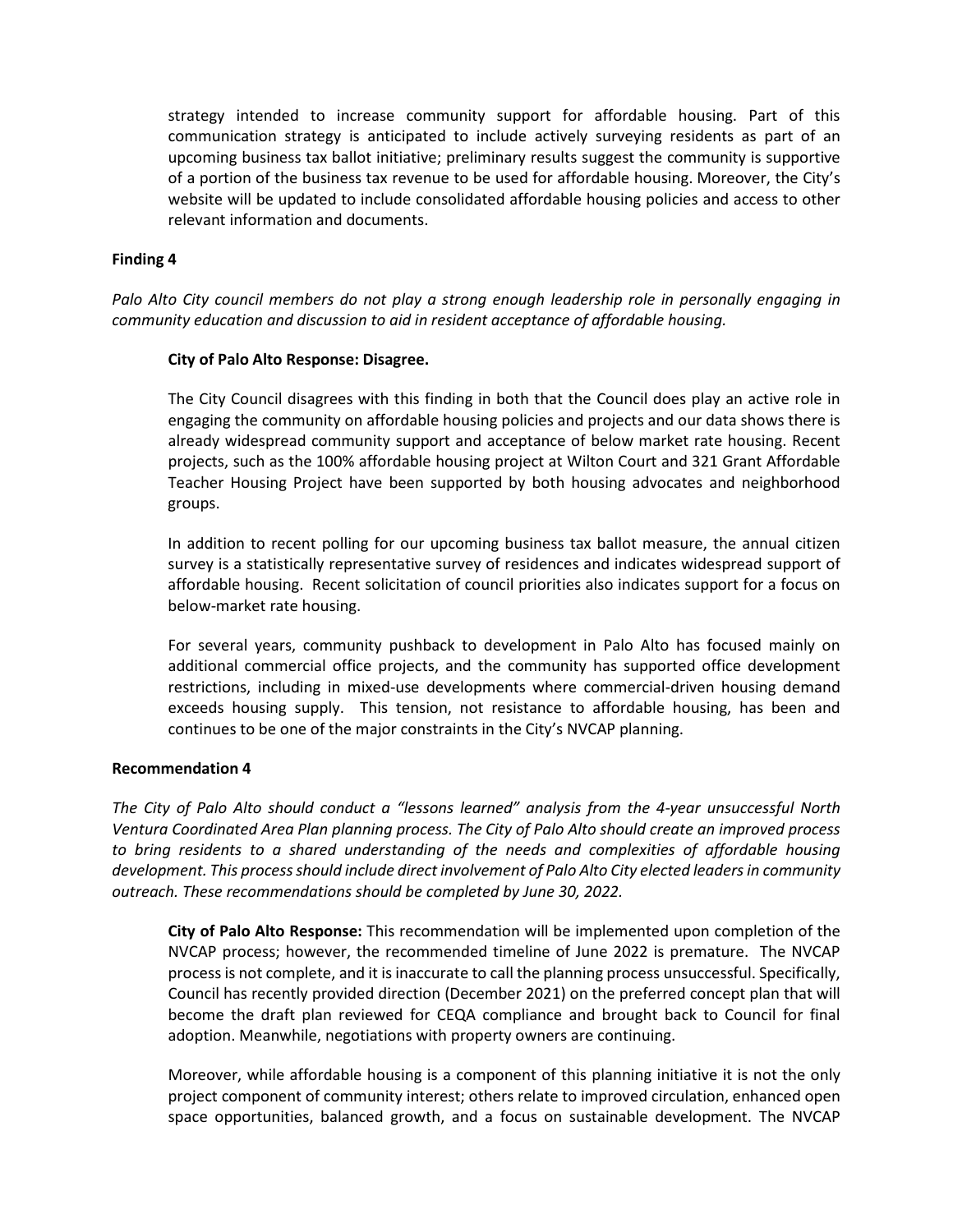strategy intended to increase community support for affordable housing. Part of this communication strategy is anticipated to include actively surveying residents as part of an upcoming business tax ballot initiative; preliminary results suggest the community is supportive of a portion of the business tax revenue to be used for affordable housing. Moreover, the City's website will be updated to include consolidated affordable housing policies and access to other relevant information and documents.

#### **Finding 4**

*Palo Alto City council members do not play a strong enough leadership role in personally engaging in community education and discussion to aid in resident acceptance of affordable housing.*

#### **City of Palo Alto Response: Disagree.**

The City Council disagrees with this finding in both that the Council does play an active role in engaging the community on affordable housing policies and projects and our data shows there is already widespread community support and acceptance of below market rate housing. Recent projects, such as the 100% affordable housing project at Wilton Court and 321 Grant Affordable Teacher Housing Project have been supported by both housing advocates and neighborhood groups.

In addition to recent polling for our upcoming business tax ballot measure, the annual citizen survey is a statistically representative survey of residences and indicates widespread support of affordable housing. Recent solicitation of council priorities also indicates support for a focus on below-market rate housing.

For several years, community pushback to development in Palo Alto has focused mainly on additional commercial office projects, and the community has supported office development restrictions, including in mixed-use developments where commercial-driven housing demand exceeds housing supply. This tension, not resistance to affordable housing, has been and continues to be one of the major constraints in the City's NVCAP planning.

#### **Recommendation 4**

*The City of Palo Alto should conduct a "lessons learned" analysis from the 4-year unsuccessful North Ventura Coordinated Area Plan planning process. The City of Palo Alto should create an improved process to bring residents to a shared understanding of the needs and complexities of affordable housing development. This process should include direct involvement of Palo Alto City elected leaders in community outreach. These recommendations should be completed by June 30, 2022.*

**City of Palo Alto Response:** This recommendation will be implemented upon completion of the NVCAP process; however, the recommended timeline of June 2022 is premature. The NVCAP process is not complete, and it is inaccurate to call the planning process unsuccessful. Specifically, Council has recently provided direction (December 2021) on the preferred concept plan that will become the draft plan reviewed for CEQA compliance and brought back to Council for final adoption. Meanwhile, negotiations with property owners are continuing.

Moreover, while affordable housing is a component of this planning initiative it is not the only project component of community interest; others relate to improved circulation, enhanced open space opportunities, balanced growth, and a focus on sustainable development. The NVCAP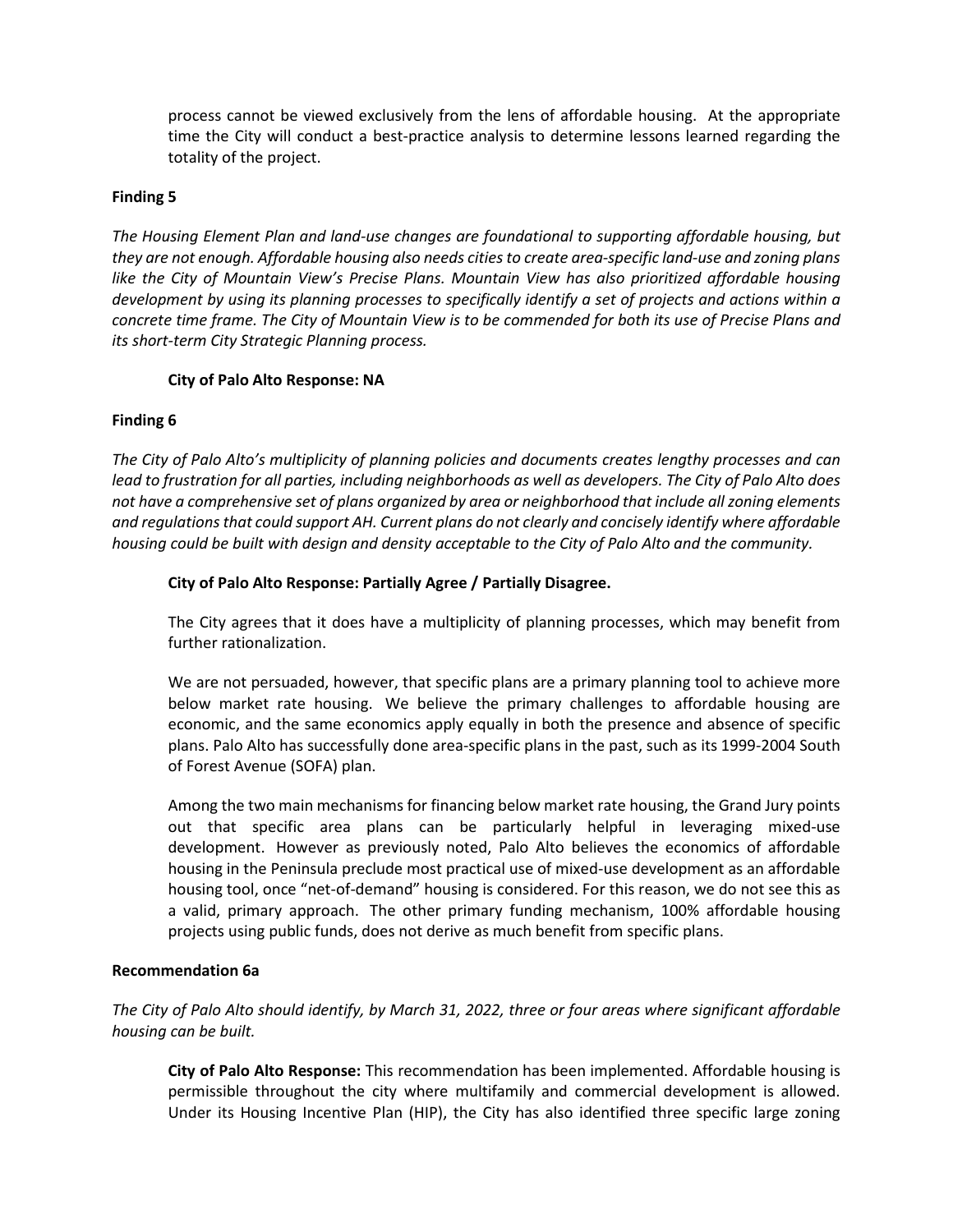process cannot be viewed exclusively from the lens of affordable housing. At the appropriate time the City will conduct a best-practice analysis to determine lessons learned regarding the totality of the project.

## **Finding 5**

*The Housing Element Plan and land-use changes are foundational to supporting affordable housing, but they are not enough. Affordable housing also needs cities to create area-specific land-use and zoning plans like the City of Mountain View's Precise Plans. Mountain View has also prioritized affordable housing development by using its planning processes to specifically identify a set of projects and actions within a concrete time frame. The City of Mountain View is to be commended for both its use of Precise Plans and its short-term City Strategic Planning process.*

# **City of Palo Alto Response: NA**

# **Finding 6**

*The City of Palo Alto's multiplicity of planning policies and documents creates lengthy processes and can lead to frustration for all parties, including neighborhoods as well as developers. The City of Palo Alto does not have a comprehensive set of plans organized by area or neighborhood that include all zoning elements and regulations that could support AH. Current plans do not clearly and concisely identify where affordable housing could be built with design and density acceptable to the City of Palo Alto and the community.*

## **City of Palo Alto Response: Partially Agree / Partially Disagree.**

The City agrees that it does have a multiplicity of planning processes, which may benefit from further rationalization.

We are not persuaded, however, that specific plans are a primary planning tool to achieve more below market rate housing. We believe the primary challenges to affordable housing are economic, and the same economics apply equally in both the presence and absence of specific plans. Palo Alto has successfully done area-specific plans in the past, such as its 1999-2004 South of Forest Avenue (SOFA) plan.

Among the two main mechanisms for financing below market rate housing, the Grand Jury points out that specific area plans can be particularly helpful in leveraging mixed-use development. However as previously noted, Palo Alto believes the economics of affordable housing in the Peninsula preclude most practical use of mixed-use development as an affordable housing tool, once "net-of-demand" housing is considered. For this reason, we do not see this as a valid, primary approach. The other primary funding mechanism, 100% affordable housing projects using public funds, does not derive as much benefit from specific plans.

# **Recommendation 6a**

*The City of Palo Alto should identify, by March 31, 2022, three or four areas where significant affordable housing can be built.*

**City of Palo Alto Response:** This recommendation has been implemented. Affordable housing is permissible throughout the city where multifamily and commercial development is allowed. Under its Housing Incentive Plan (HIP), the City has also identified three specific large zoning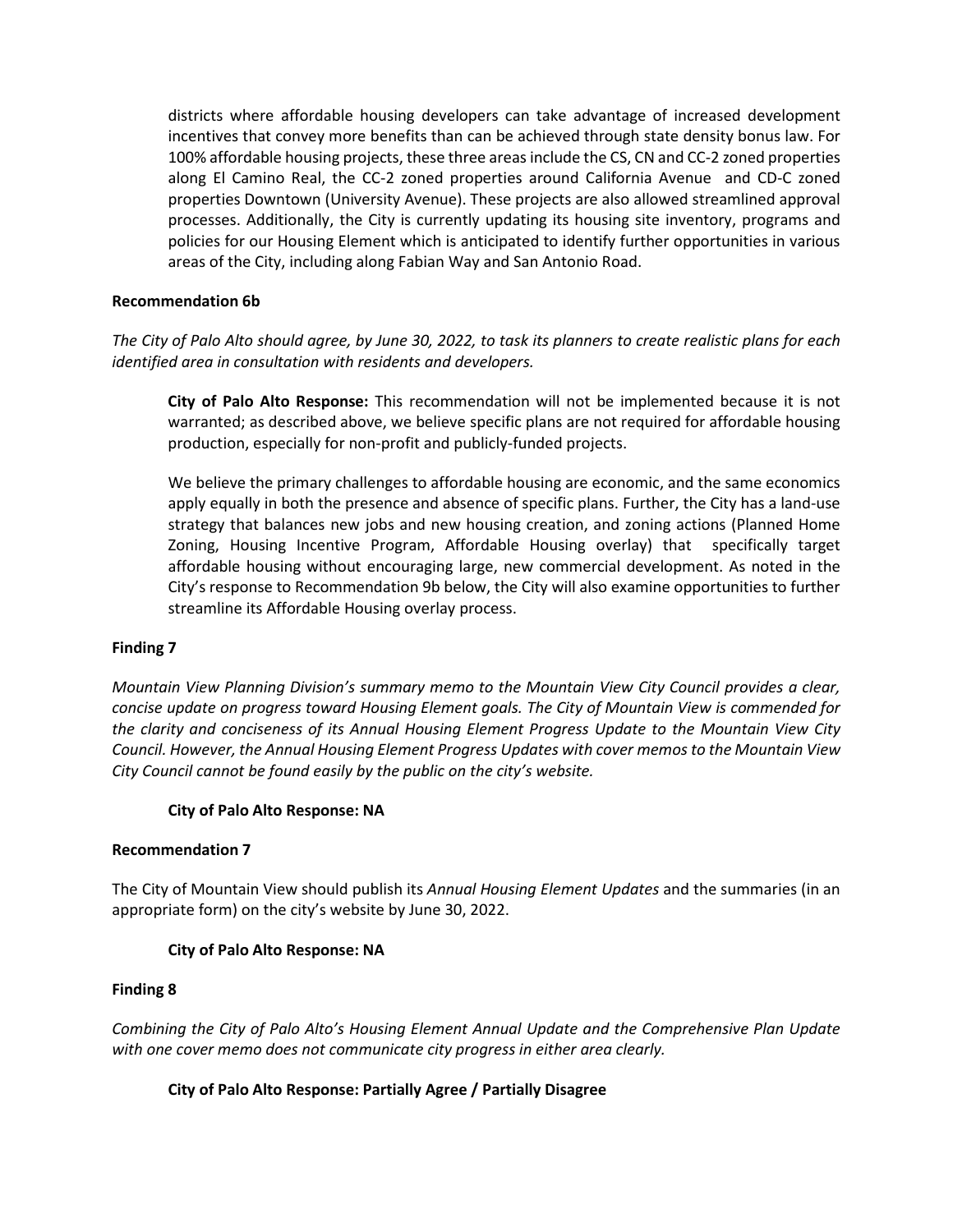districts where affordable housing developers can take advantage of increased development incentives that convey more benefits than can be achieved through state density bonus law. For 100% affordable housing projects, these three areas include the CS, CN and CC-2 zoned properties along El Camino Real, the CC-2 zoned properties around California Avenue and CD-C zoned properties Downtown (University Avenue). These projects are also allowed streamlined approval processes. Additionally, the City is currently updating its housing site inventory, programs and policies for our Housing Element which is anticipated to identify further opportunities in various areas of the City, including along Fabian Way and San Antonio Road.

#### **Recommendation 6b**

*The City of Palo Alto should agree, by June 30, 2022, to task its planners to create realistic plans for each identified area in consultation with residents and developers.*

**City of Palo Alto Response:** This recommendation will not be implemented because it is not warranted; as described above, we believe specific plans are not required for affordable housing production, especially for non-profit and publicly-funded projects.

We believe the primary challenges to affordable housing are economic, and the same economics apply equally in both the presence and absence of specific plans. Further, the City has a land-use strategy that balances new jobs and new housing creation, and zoning actions (Planned Home Zoning, Housing Incentive Program, Affordable Housing overlay) that specifically target affordable housing without encouraging large, new commercial development. As noted in the City's response to Recommendation 9b below, the City will also examine opportunities to further streamline its Affordable Housing overlay process.

#### **Finding 7**

*Mountain View Planning Division's summary memo to the Mountain View City Council provides a clear, concise update on progress toward Housing Element goals. The City of Mountain View is commended for the clarity and conciseness of its Annual Housing Element Progress Update to the Mountain View City Council. However, the Annual Housing Element Progress Updates with cover memos to the Mountain View City Council cannot be found easily by the public on the city's website.*

#### **City of Palo Alto Response: NA**

#### **Recommendation 7**

The City of Mountain View should publish its *Annual Housing Element Updates* and the summaries (in an appropriate form) on the city's website by June 30, 2022.

## **City of Palo Alto Response: NA**

#### **Finding 8**

*Combining the City of Palo Alto's Housing Element Annual Update and the Comprehensive Plan Update with one cover memo does not communicate city progress in either area clearly.*

## **City of Palo Alto Response: Partially Agree / Partially Disagree**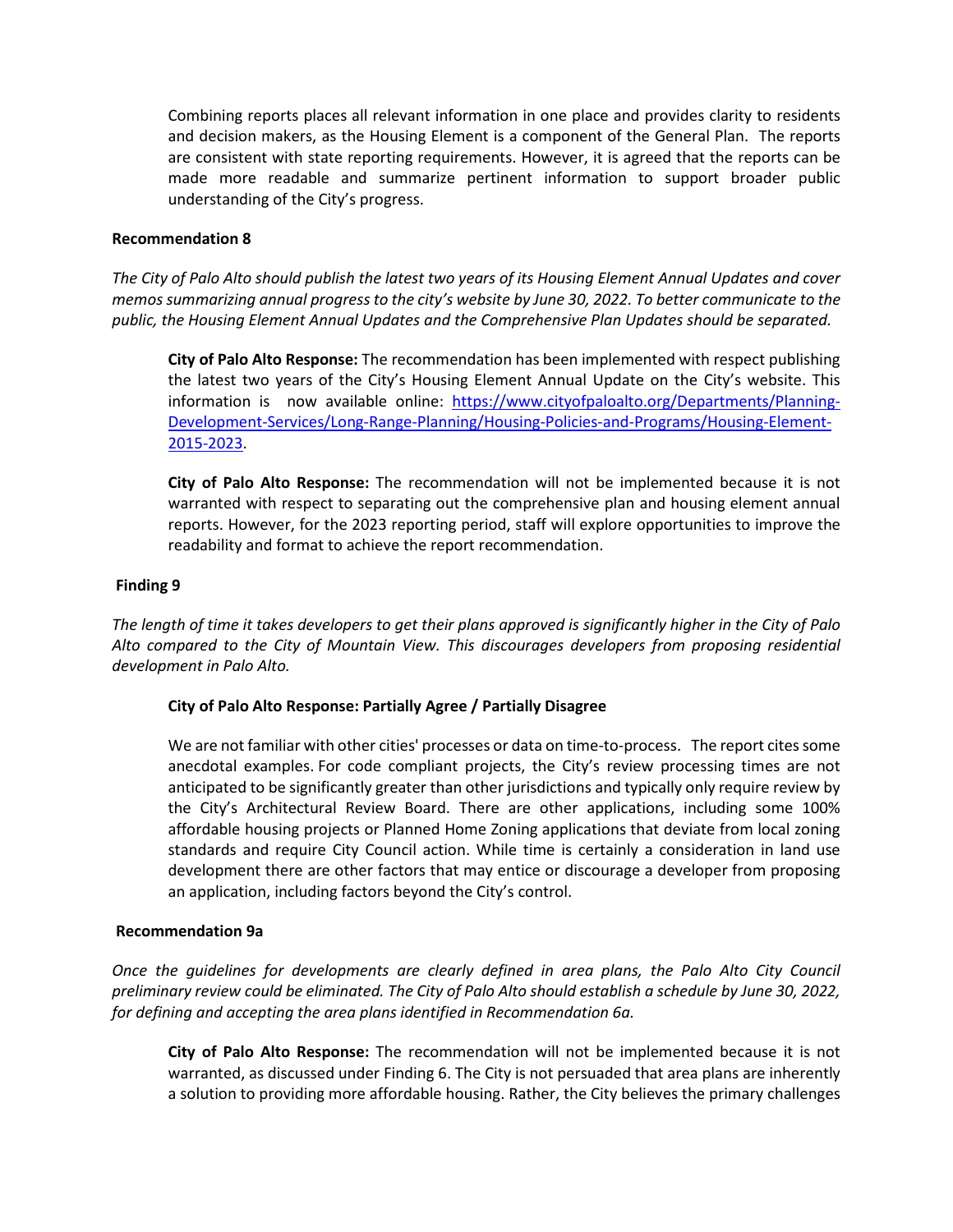Combining reports places all relevant information in one place and provides clarity to residents and decision makers, as the Housing Element is a component of the General Plan. The reports are consistent with state reporting requirements. However, it is agreed that the reports can be made more readable and summarize pertinent information to support broader public understanding of the City's progress.

#### **Recommendation 8**

*The City of Palo Alto should publish the latest two years of its Housing Element Annual Updates and cover memos summarizing annual progress to the city's website by June 30, 2022. To better communicate to the public, the Housing Element Annual Updates and the Comprehensive Plan Updates should be separated.*

**City of Palo Alto Response:** The recommendation has been implemented with respect publishing the latest two years of the City's Housing Element Annual Update on the City's website. This information is now available online: [https://www.cityofpaloalto.org/Departments/Planning-](https://www.cityofpaloalto.org/Departments/Planning-Development-Services/Long-Range-Planning/Housing-Policies-and-Programs/Housing-Element-2015-2023)[Development-Services/Long-Range-Planning/Housing-Policies-and-Programs/Housing-Element-](https://www.cityofpaloalto.org/Departments/Planning-Development-Services/Long-Range-Planning/Housing-Policies-and-Programs/Housing-Element-2015-2023)[2015-2023.](https://www.cityofpaloalto.org/Departments/Planning-Development-Services/Long-Range-Planning/Housing-Policies-and-Programs/Housing-Element-2015-2023)

**City of Palo Alto Response:** The recommendation will not be implemented because it is not warranted with respect to separating out the comprehensive plan and housing element annual reports. However, for the 2023 reporting period, staff will explore opportunities to improve the readability and format to achieve the report recommendation.

## **Finding 9**

*The length of time it takes developers to get their plans approved is significantly higher in the City of Palo Alto compared to the City of Mountain View. This discourages developers from proposing residential development in Palo Alto.*

## **City of Palo Alto Response: Partially Agree / Partially Disagree**

We are not familiar with other cities' processes or data on time-to-process. The report cites some anecdotal examples. For code compliant projects, the City's review processing times are not anticipated to be significantly greater than other jurisdictions and typically only require review by the City's Architectural Review Board. There are other applications, including some 100% affordable housing projects or Planned Home Zoning applications that deviate from local zoning standards and require City Council action. While time is certainly a consideration in land use development there are other factors that may entice or discourage a developer from proposing an application, including factors beyond the City's control.

#### **Recommendation 9a**

*Once the guidelines for developments are clearly defined in area plans, the Palo Alto City Council preliminary review could be eliminated. The City of Palo Alto should establish a schedule by June 30, 2022, for defining and accepting the area plans identified in Recommendation 6a.*

**City of Palo Alto Response:** The recommendation will not be implemented because it is not warranted, as discussed under Finding 6. The City is not persuaded that area plans are inherently a solution to providing more affordable housing. Rather, the City believes the primary challenges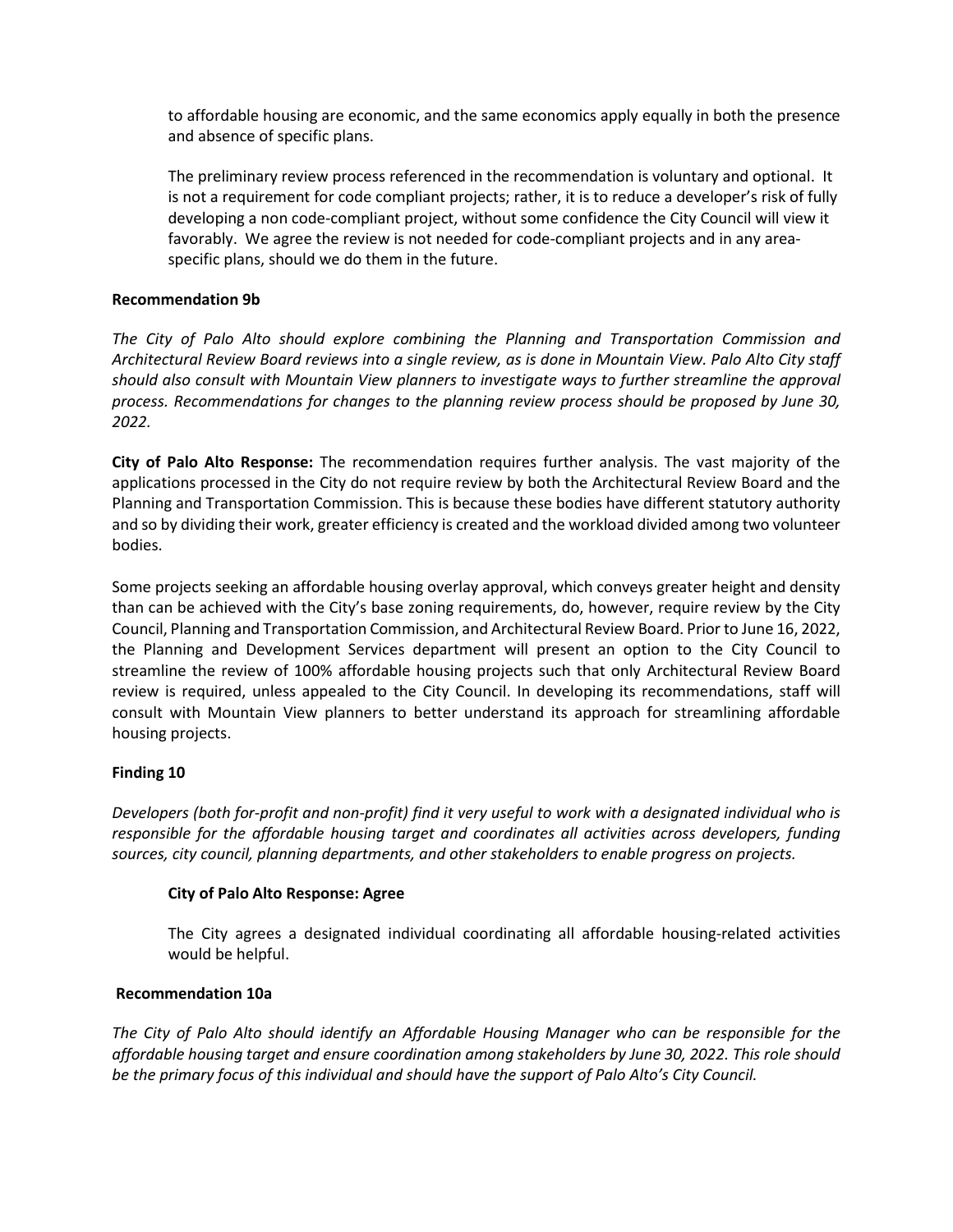to affordable housing are economic, and the same economics apply equally in both the presence and absence of specific plans.

The preliminary review process referenced in the recommendation is voluntary and optional. It is not a requirement for code compliant projects; rather, it is to reduce a developer's risk of fully developing a non code-compliant project, without some confidence the City Council will view it favorably. We agree the review is not needed for code-compliant projects and in any areaspecific plans, should we do them in the future.

# **Recommendation 9b**

*The City of Palo Alto should explore combining the Planning and Transportation Commission and Architectural Review Board reviews into a single review, as is done in Mountain View. Palo Alto City staff should also consult with Mountain View planners to investigate ways to further streamline the approval process. Recommendations for changes to the planning review process should be proposed by June 30, 2022.*

**City of Palo Alto Response:** The recommendation requires further analysis. The vast majority of the applications processed in the City do not require review by both the Architectural Review Board and the Planning and Transportation Commission. This is because these bodies have different statutory authority and so by dividing their work, greater efficiency is created and the workload divided among two volunteer bodies.

Some projects seeking an affordable housing overlay approval, which conveys greater height and density than can be achieved with the City's base zoning requirements, do, however, require review by the City Council, Planning and Transportation Commission, and Architectural Review Board. Prior to June 16, 2022, the Planning and Development Services department will present an option to the City Council to streamline the review of 100% affordable housing projects such that only Architectural Review Board review is required, unless appealed to the City Council. In developing its recommendations, staff will consult with Mountain View planners to better understand its approach for streamlining affordable housing projects.

## **Finding 10**

*Developers (both for-profit and non-profit) find it very useful to work with a designated individual who is responsible for the affordable housing target and coordinates all activities across developers, funding sources, city council, planning departments, and other stakeholders to enable progress on projects.*

## **City of Palo Alto Response: Agree**

The City agrees a designated individual coordinating all affordable housing-related activities would be helpful.

## **Recommendation 10a**

*The City of Palo Alto should identify an Affordable Housing Manager who can be responsible for the affordable housing target and ensure coordination among stakeholders by June 30, 2022. This role should be the primary focus of this individual and should have the support of Palo Alto's City Council.*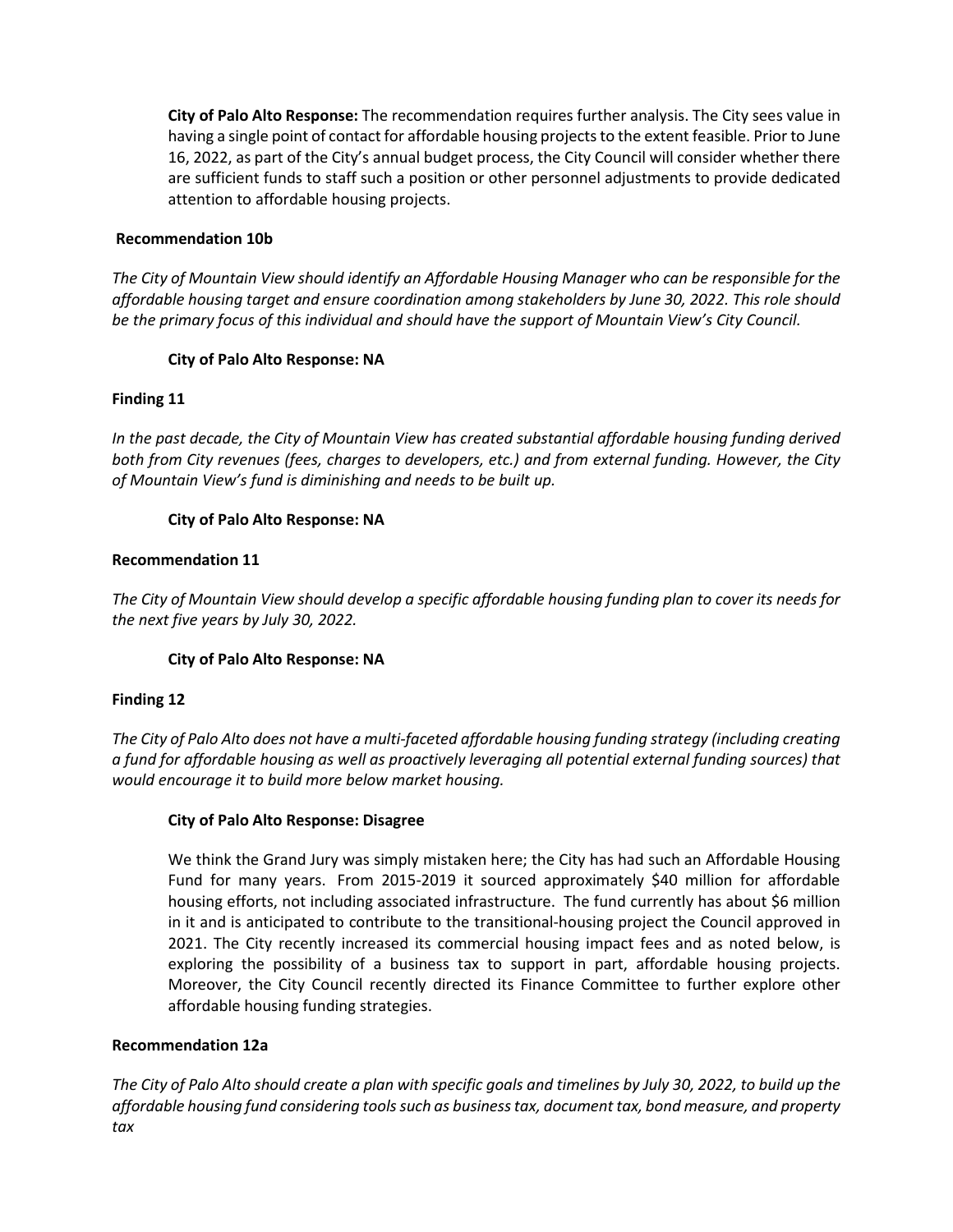**City of Palo Alto Response:** The recommendation requires further analysis. The City sees value in having a single point of contact for affordable housing projects to the extent feasible. Prior to June 16, 2022, as part of the City's annual budget process, the City Council will consider whether there are sufficient funds to staff such a position or other personnel adjustments to provide dedicated attention to affordable housing projects.

## **Recommendation 10b**

*The City of Mountain View should identify an Affordable Housing Manager who can be responsible for the affordable housing target and ensure coordination among stakeholders by June 30, 2022. This role should be the primary focus of this individual and should have the support of Mountain View's City Council.*

# **City of Palo Alto Response: NA**

# **Finding 11**

*In the past decade, the City of Mountain View has created substantial affordable housing funding derived both from City revenues (fees, charges to developers, etc.) and from external funding. However, the City of Mountain View's fund is diminishing and needs to be built up.*

# **City of Palo Alto Response: NA**

# **Recommendation 11**

*The City of Mountain View should develop a specific affordable housing funding plan to cover its needs for the next five years by July 30, 2022.*

## **City of Palo Alto Response: NA**

## **Finding 12**

*The City of Palo Alto does not have a multi-faceted affordable housing funding strategy (including creating a fund for affordable housing as well as proactively leveraging all potential external funding sources) that would encourage it to build more below market housing.*

## **City of Palo Alto Response: Disagree**

We think the Grand Jury was simply mistaken here; the City has had such an Affordable Housing Fund for many years. From 2015-2019 it sourced approximately \$40 million for affordable housing efforts, not including associated infrastructure. The fund currently has about \$6 million in it and is anticipated to contribute to the transitional-housing project the Council approved in 2021. The City recently increased its commercial housing impact fees and as noted below, is exploring the possibility of a business tax to support in part, affordable housing projects. Moreover, the City Council recently directed its Finance Committee to further explore other affordable housing funding strategies.

## **Recommendation 12a**

*The City of Palo Alto should create a plan with specific goals and timelines by July 30, 2022, to build up the affordable housing fund considering tools such as business tax, document tax, bond measure, and property tax*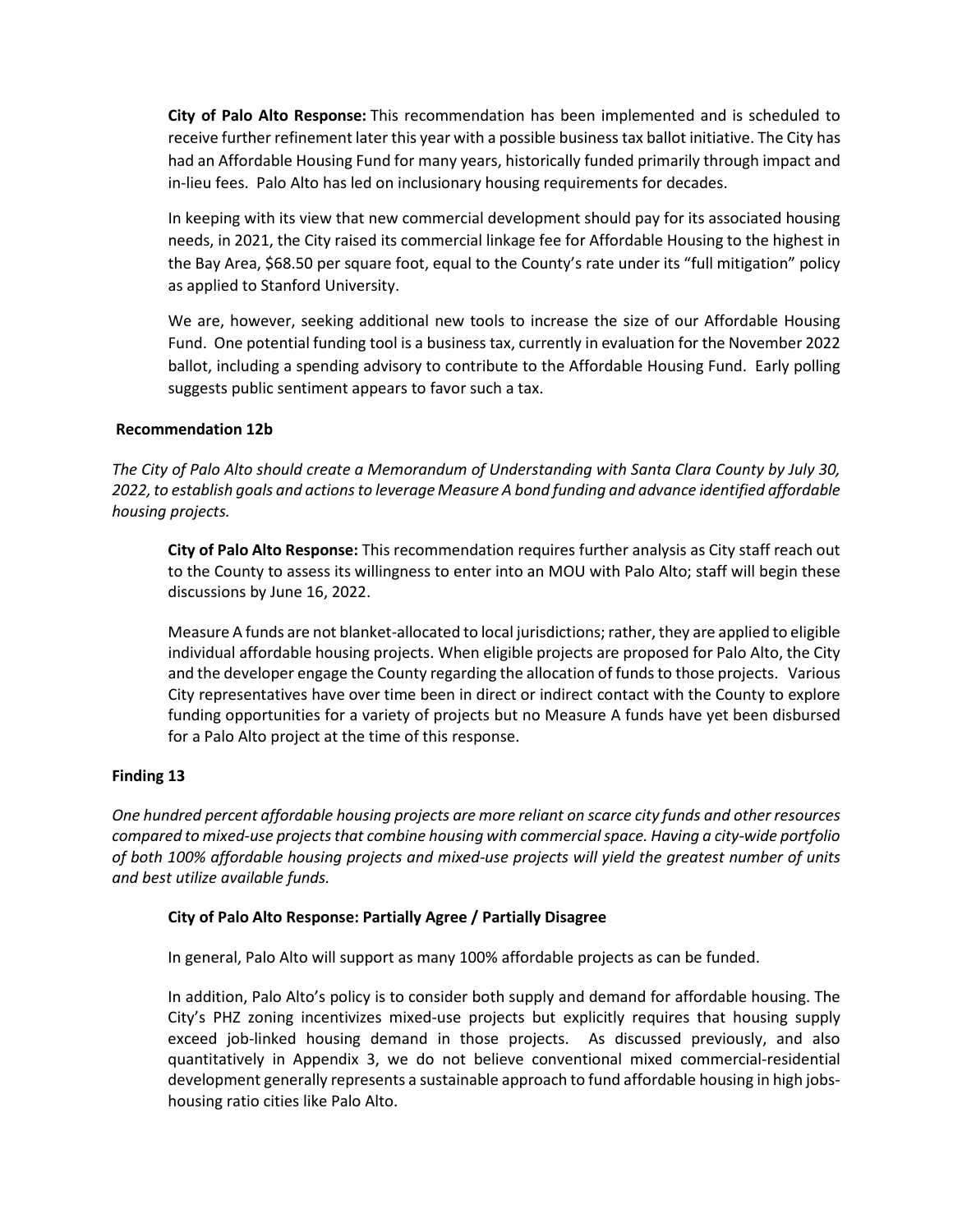**City of Palo Alto Response:** This recommendation has been implemented and is scheduled to receive further refinement later this year with a possible business tax ballot initiative. The City has had an Affordable Housing Fund for many years, historically funded primarily through impact and in-lieu fees. Palo Alto has led on inclusionary housing requirements for decades.

In keeping with its view that new commercial development should pay for its associated housing needs, in 2021, the City raised its commercial linkage fee for Affordable Housing to the highest in the Bay Area, \$68.50 per square foot, equal to the County's rate under its "full mitigation" policy as applied to Stanford University.

We are, however, seeking additional new tools to increase the size of our Affordable Housing Fund. One potential funding tool is a business tax, currently in evaluation for the November 2022 ballot, including a spending advisory to contribute to the Affordable Housing Fund. Early polling suggests public sentiment appears to favor such a tax.

## **Recommendation 12b**

*The City of Palo Alto should create a Memorandum of Understanding with Santa Clara County by July 30, 2022, to establish goals and actions to leverage Measure A bond funding and advance identified affordable housing projects.*

**City of Palo Alto Response:** This recommendation requires further analysis as City staff reach out to the County to assess its willingness to enter into an MOU with Palo Alto; staff will begin these discussions by June 16, 2022.

Measure A funds are not blanket-allocated to local jurisdictions; rather, they are applied to eligible individual affordable housing projects. When eligible projects are proposed for Palo Alto, the City and the developer engage the County regarding the allocation of funds to those projects. Various City representatives have over time been in direct or indirect contact with the County to explore funding opportunities for a variety of projects but no Measure A funds have yet been disbursed for a Palo Alto project at the time of this response.

## **Finding 13**

*One hundred percent affordable housing projects are more reliant on scarce city funds and other resources compared to mixed-use projects that combine housing with commercial space. Having a city-wide portfolio of both 100% affordable housing projects and mixed-use projects will yield the greatest number of units and best utilize available funds.*

## **City of Palo Alto Response: Partially Agree / Partially Disagree**

In general, Palo Alto will support as many 100% affordable projects as can be funded.

In addition, Palo Alto's policy is to consider both supply and demand for affordable housing. The City's PHZ zoning incentivizes mixed-use projects but explicitly requires that housing supply exceed job-linked housing demand in those projects. As discussed previously, and also quantitatively in Appendix 3, we do not believe conventional mixed commercial-residential development generally represents a sustainable approach to fund affordable housing in high jobshousing ratio cities like Palo Alto.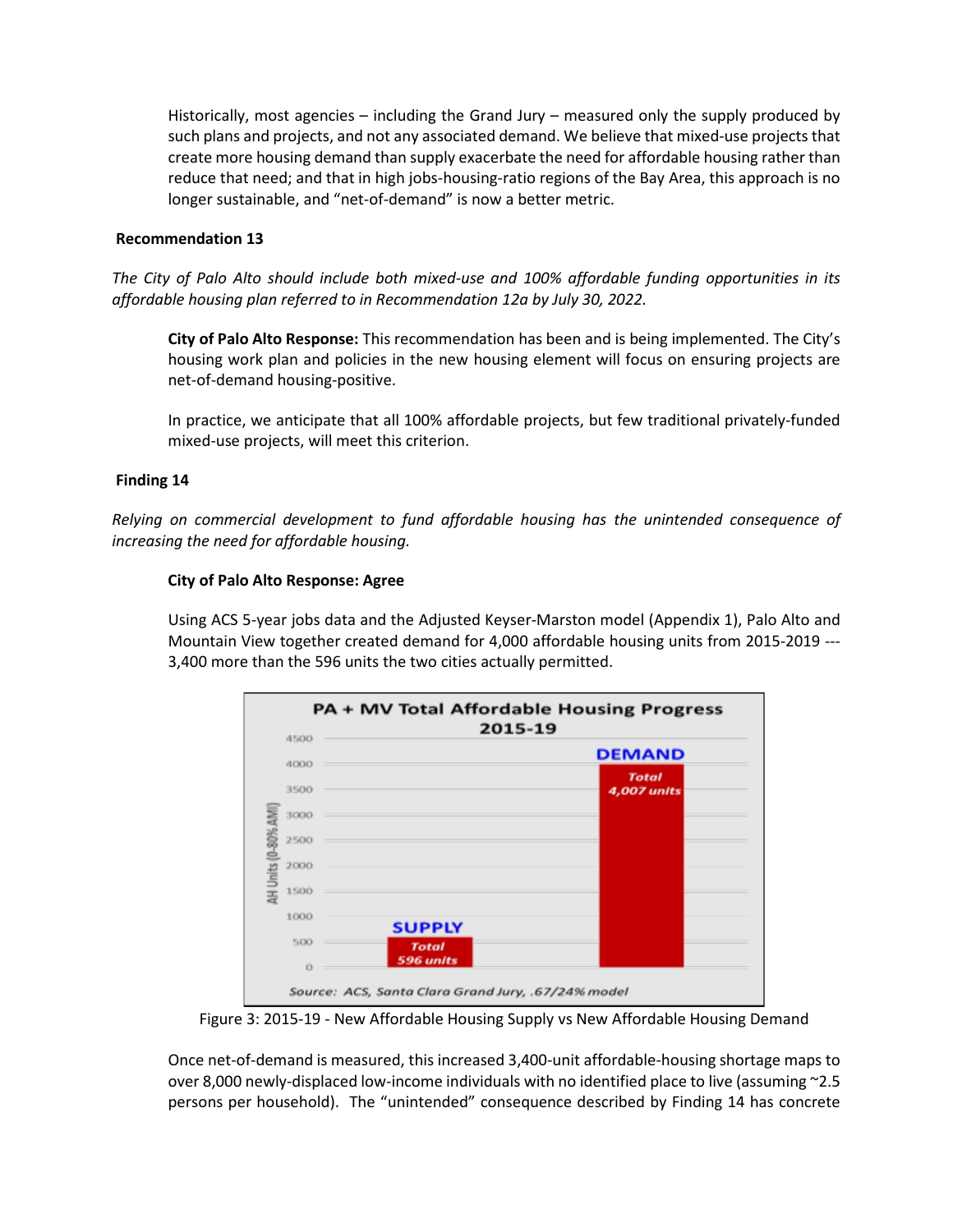Historically, most agencies – including the Grand Jury – measured only the supply produced by such plans and projects, and not any associated demand. We believe that mixed-use projects that create more housing demand than supply exacerbate the need for affordable housing rather than reduce that need; and that in high jobs-housing-ratio regions of the Bay Area, this approach is no longer sustainable, and "net-of-demand" is now a better metric.

#### **Recommendation 13**

*The City of Palo Alto should include both mixed-use and 100% affordable funding opportunities in its affordable housing plan referred to in Recommendation 12a by July 30, 2022.*

**City of Palo Alto Response:** This recommendation has been and is being implemented. The City's housing work plan and policies in the new housing element will focus on ensuring projects are net-of-demand housing-positive.

In practice, we anticipate that all 100% affordable projects, but few traditional privately-funded mixed-use projects, will meet this criterion.

#### **Finding 14**

*Relying on commercial development to fund affordable housing has the unintended consequence of increasing the need for affordable housing.*

#### **City of Palo Alto Response: Agree**

Using ACS 5-year jobs data and the Adjusted Keyser-Marston model (Appendix 1), Palo Alto and Mountain View together created demand for 4,000 affordable housing units from 2015-2019 --- 3,400 more than the 596 units the two cities actually permitted.



Figure 3: 2015-19 - New Affordable Housing Supply vs New Affordable Housing Demand

Once net-of-demand is measured, this increased 3,400-unit affordable-housing shortage maps to over 8,000 newly-displaced low-income individuals with no identified place to live (assuming ~2.5 persons per household). The "unintended" consequence described by Finding 14 has concrete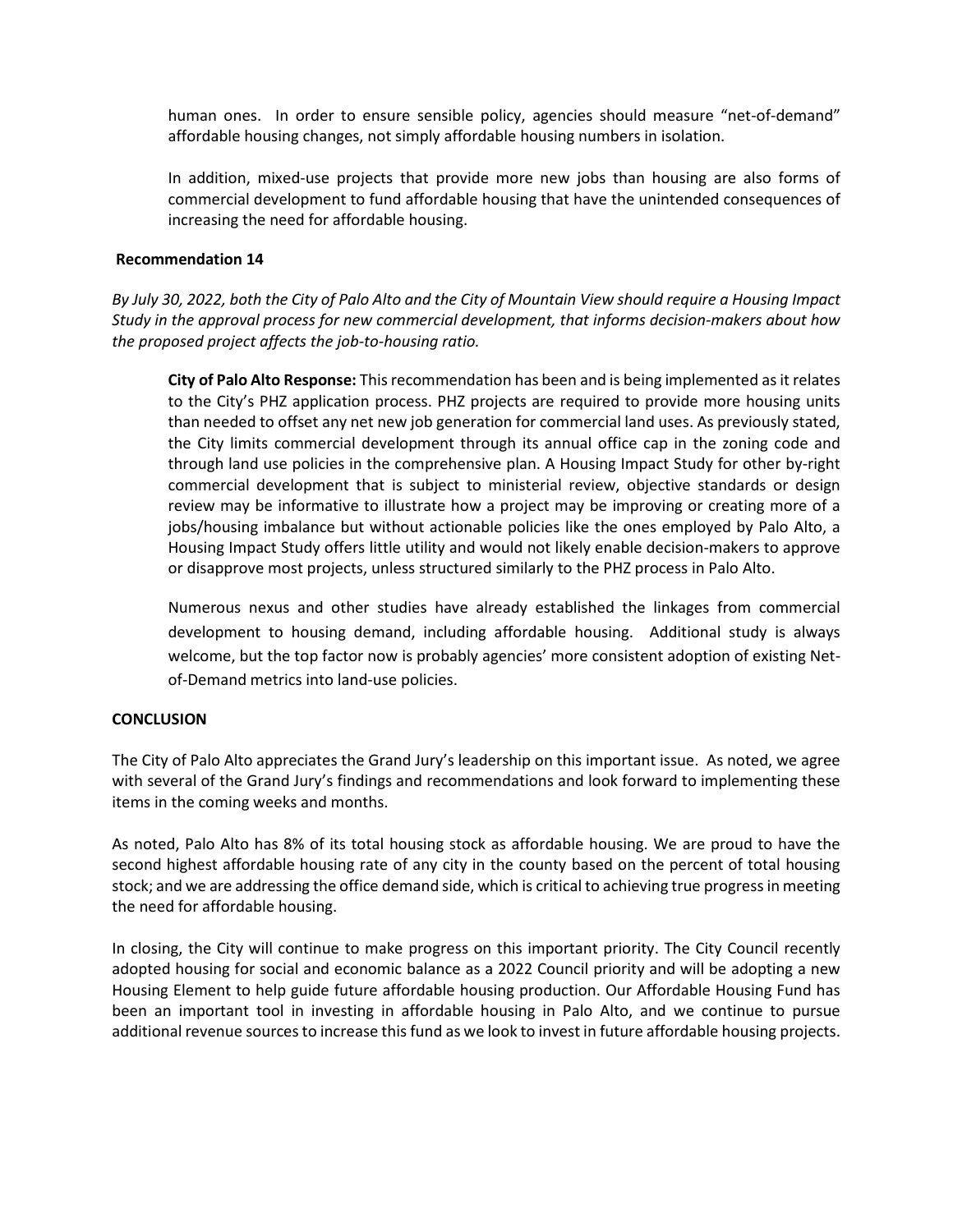human ones. In order to ensure sensible policy, agencies should measure "net-of-demand" affordable housing changes, not simply affordable housing numbers in isolation.

In addition, mixed-use projects that provide more new jobs than housing are also forms of commercial development to fund affordable housing that have the unintended consequences of increasing the need for affordable housing.

#### **Recommendation 14**

*By July 30, 2022, both the City of Palo Alto and the City of Mountain View should require a Housing Impact Study in the approval process for new commercial development, that informs decision-makers about how the proposed project affects the job-to-housing ratio.*

**City of Palo Alto Response:** This recommendation has been and is being implemented as it relates to the City's PHZ application process. PHZ projects are required to provide more housing units than needed to offset any net new job generation for commercial land uses. As previously stated, the City limits commercial development through its annual office cap in the zoning code and through land use policies in the comprehensive plan. A Housing Impact Study for other by-right commercial development that is subject to ministerial review, objective standards or design review may be informative to illustrate how a project may be improving or creating more of a jobs/housing imbalance but without actionable policies like the ones employed by Palo Alto, a Housing Impact Study offers little utility and would not likely enable decision-makers to approve or disapprove most projects, unless structured similarly to the PHZ process in Palo Alto.

Numerous nexus and other studies have already established the linkages from commercial development to housing demand, including affordable housing. Additional study is always welcome, but the top factor now is probably agencies' more consistent adoption of existing Netof-Demand metrics into land-use policies.

## **CONCLUSION**

The City of Palo Alto appreciates the Grand Jury's leadership on this important issue. As noted, we agree with several of the Grand Jury's findings and recommendations and look forward to implementing these items in the coming weeks and months.

As noted, Palo Alto has 8% of its total housing stock as affordable housing. We are proud to have the second highest affordable housing rate of any city in the county based on the percent of total housing stock; and we are addressing the office demand side, which is critical to achieving true progress in meeting the need for affordable housing.

In closing, the City will continue to make progress on this important priority. The City Council recently adopted housing for social and economic balance as a 2022 Council priority and will be adopting a new Housing Element to help guide future affordable housing production. Our Affordable Housing Fund has been an important tool in investing in affordable housing in Palo Alto, and we continue to pursue additional revenue sources to increase this fund as we look to invest in future affordable housing projects.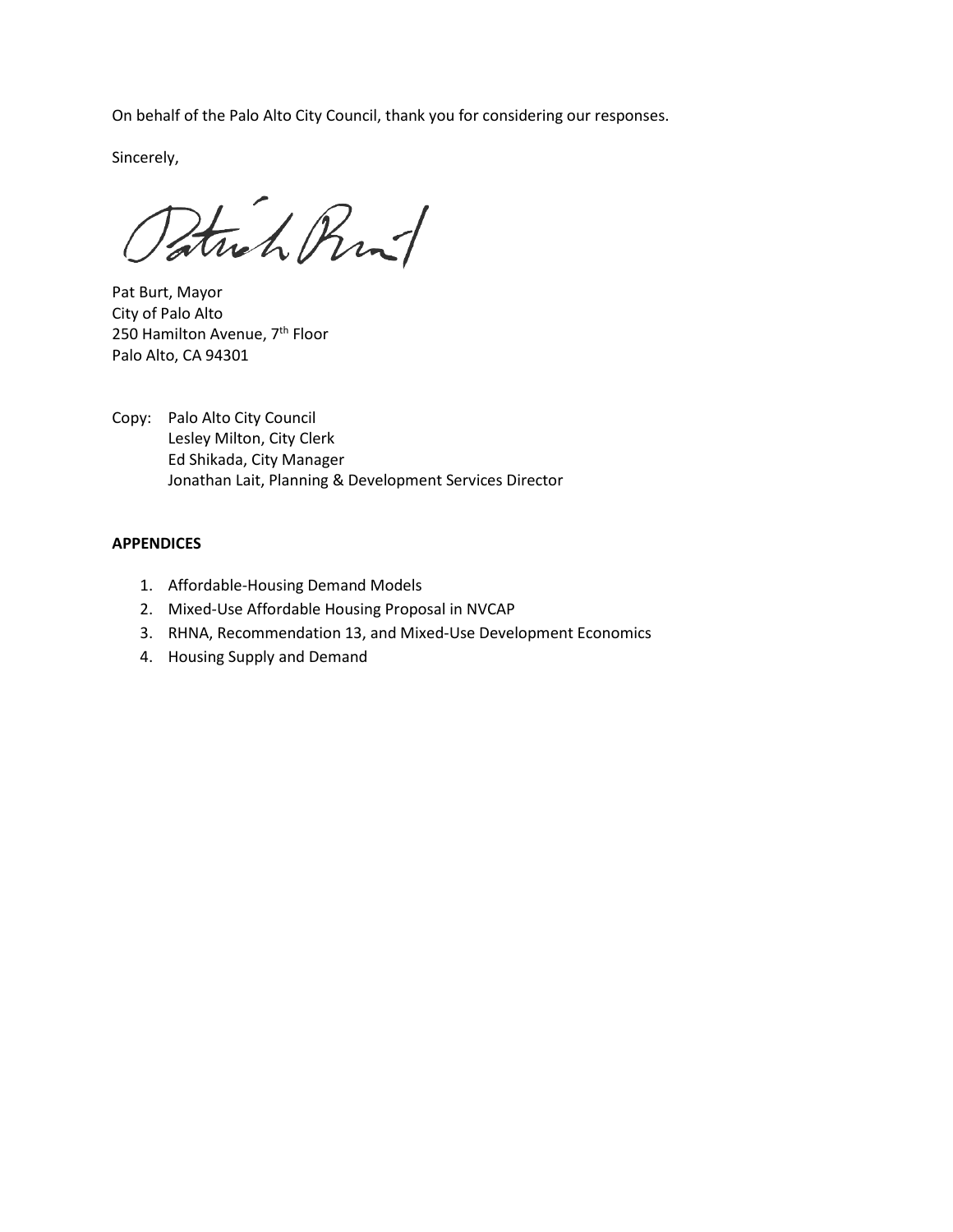On behalf of the Palo Alto City Council, thank you for considering our responses.

Sincerely,

Patrick Rint

Pat Burt, Mayor City of Palo Alto 250 Hamilton Avenue, 7<sup>th</sup> Floor Palo Alto, CA 94301

Copy: Palo Alto City Council Lesley Milton, City Clerk Ed Shikada, City Manager Jonathan Lait, Planning & Development Services Director

#### **APPENDICES**

- 1. Affordable-Housing Demand Models
- 2. Mixed-Use Affordable Housing Proposal in NVCAP
- 3. RHNA, Recommendation 13, and Mixed-Use Development Economics
- 4. Housing Supply and Demand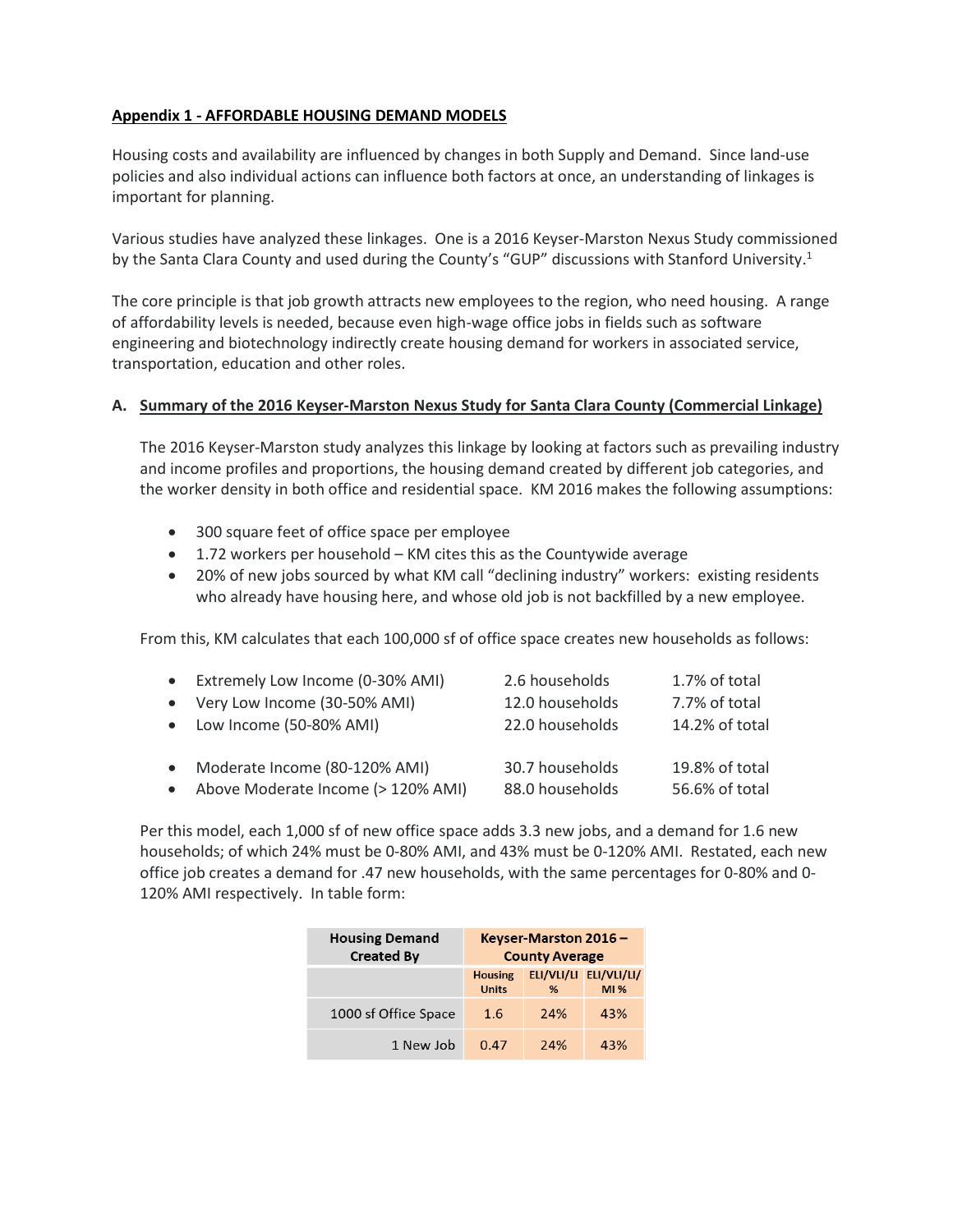# **Appendix 1 - AFFORDABLE HOUSING DEMAND MODELS**

Housing costs and availability are influenced by changes in both Supply and Demand. Since land-use policies and also individual actions can influence both factors at once, an understanding of linkages is important for planning.

Various studies have analyzed these linkages. One is a 2016 Keyser-Marston Nexus Study commissioned by the Santa Clara County and used during the County's "GUP" discussions with Stanford University.<sup>1</sup>

The core principle is that job growth attracts new employees to the region, who need housing. A range of affordability levels is needed, because even high-wage office jobs in fields such as software engineering and biotechnology indirectly create housing demand for workers in associated service, transportation, education and other roles.

## **A. Summary of the 2016 Keyser-Marston Nexus Study for Santa Clara County (Commercial Linkage)**

The 2016 Keyser-Marston study analyzes this linkage by looking at factors such as prevailing industry and income profiles and proportions, the housing demand created by different job categories, and the worker density in both office and residential space. KM 2016 makes the following assumptions:

- 300 square feet of office space per employee
- 1.72 workers per household KM cites this as the Countywide average
- 20% of new jobs sourced by what KM call "declining industry" workers: existing residents who already have housing here, and whose old job is not backfilled by a new employee.

From this, KM calculates that each 100,000 sf of office space creates new households as follows:

| • Extremely Low Income (0-30% AMI)   | 2.6 households  | 1.7% of total  |
|--------------------------------------|-----------------|----------------|
| • Very Low Income (30-50% AMI)       | 12.0 households | 7.7% of total  |
| • Low Income (50-80% AMI)            | 22.0 households | 14.2% of total |
| • Moderate Income (80-120% AMI)      | 30.7 households | 19.8% of total |
| • Above Moderate Income (> 120% AMI) | 88.0 households | 56.6% of total |

Per this model, each 1,000 sf of new office space adds 3.3 new jobs, and a demand for 1.6 new households; of which 24% must be 0-80% AMI, and 43% must be 0-120% AMI. Restated, each new office job creates a demand for .47 new households, with the same percentages for 0-80% and 0- 120% AMI respectively. In table form:

| <b>Housing Demand</b><br><b>Created By</b> | Keyser-Marston 2016 -<br><b>County Average</b> |     |                               |  |  |  |
|--------------------------------------------|------------------------------------------------|-----|-------------------------------|--|--|--|
|                                            | <b>Housing</b><br><b>Units</b>                 | %   | ELI/VLI/LI ELI/VLI/LI/<br>M1% |  |  |  |
| 1000 sf Office Space                       | 1.6                                            | 24% | 43%                           |  |  |  |
| 1 New Job                                  | 0.47                                           | 74% | 43%                           |  |  |  |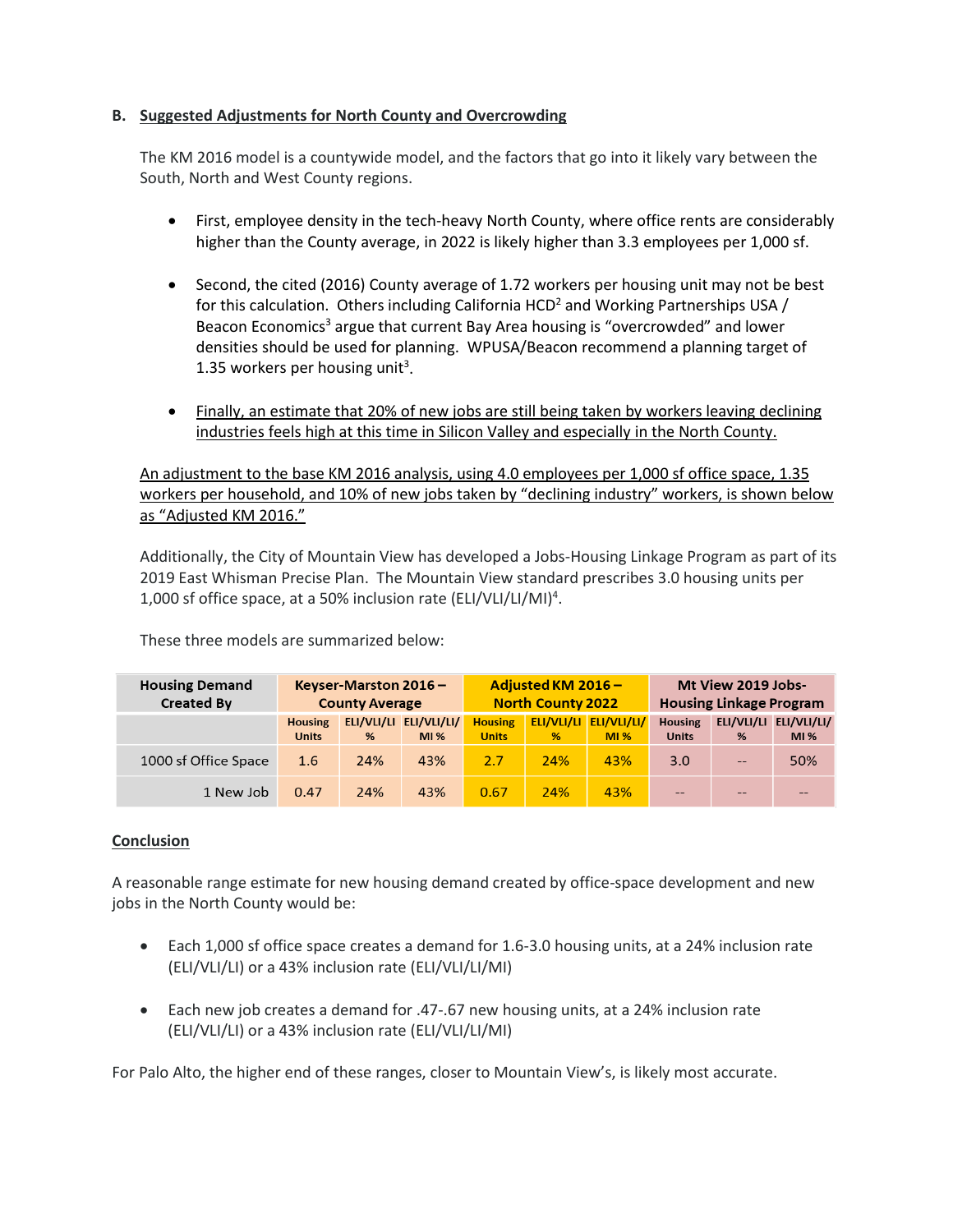# **B. Suggested Adjustments for North County and Overcrowding**

The KM 2016 model is a countywide model, and the factors that go into it likely vary between the South, North and West County regions.

- First, employee density in the tech-heavy North County, where office rents are considerably higher than the County average, in 2022 is likely higher than 3.3 employees per 1,000 sf.
- Second, the cited (2016) County average of 1.72 workers per housing unit may not be best for this calculation. Others including California HCD<sup>2</sup> and Working Partnerships USA / Beacon Economics<sup>3</sup> argue that current Bay Area housing is "overcrowded" and lower densities should be used for planning. WPUSA/Beacon recommend a planning target of 1.35 workers per housing unit<sup>3</sup>.
- Finally, an estimate that 20% of new jobs are still being taken by workers leaving declining industries feels high at this time in Silicon Valley and especially in the North County.

An adjustment to the base KM 2016 analysis, using 4.0 employees per 1,000 sf office space, 1.35 workers per household, and 10% of new jobs taken by "declining industry" workers, is shown below as "Adjusted KM 2016."

Additionally, the City of Mountain View has developed a Jobs-Housing Linkage Program as part of its 2019 East Whisman Precise Plan. The Mountain View standard prescribes 3.0 housing units per 1,000 sf office space, at a 50% inclusion rate (ELI/VLI/LI/MI)4 .

These three models are summarized below:

| <b>Housing Demand</b><br><b>Created By</b> | Keyser-Marston 2016 $-$<br><b>County Average</b> |     |                               | Adjusted KM 2016 -<br><b>North County 2022</b> |     |                               | Mt View 2019 Jobs-<br><b>Housing Linkage Program</b> |       |                               |
|--------------------------------------------|--------------------------------------------------|-----|-------------------------------|------------------------------------------------|-----|-------------------------------|------------------------------------------------------|-------|-------------------------------|
|                                            | <b>Housing</b><br><b>Units</b>                   | %   | ELI/VLI/LI ELI/VLI/LI/<br>M1% | <b>Housing</b><br><b>Units</b>                 | %   | ELI/VLI/LI ELI/VLI/LI/<br>M1% | <b>Housing</b><br><b>Units</b>                       | %     | ELI/VLI/LI ELI/VLI/LI/<br>M1% |
| 1000 sf Office Space                       | 1.6                                              | 24% | 43%                           | 2.7                                            | 24% | 43%                           | 3.0                                                  | $- -$ | 50%                           |
| 1 New Job                                  | 0.47                                             | 24% | 43%                           | 0.67                                           | 24% | 43%                           | --                                                   | --    | --                            |

## **Conclusion**

A reasonable range estimate for new housing demand created by office-space development and new jobs in the North County would be:

- Each 1,000 sf office space creates a demand for 1.6-3.0 housing units, at a 24% inclusion rate (ELI/VLI/LI) or a 43% inclusion rate (ELI/VLI/LI/MI)
- Each new job creates a demand for .47-.67 new housing units, at a 24% inclusion rate (ELI/VLI/LI) or a 43% inclusion rate (ELI/VLI/LI/MI)

For Palo Alto, the higher end of these ranges, closer to Mountain View's, is likely most accurate.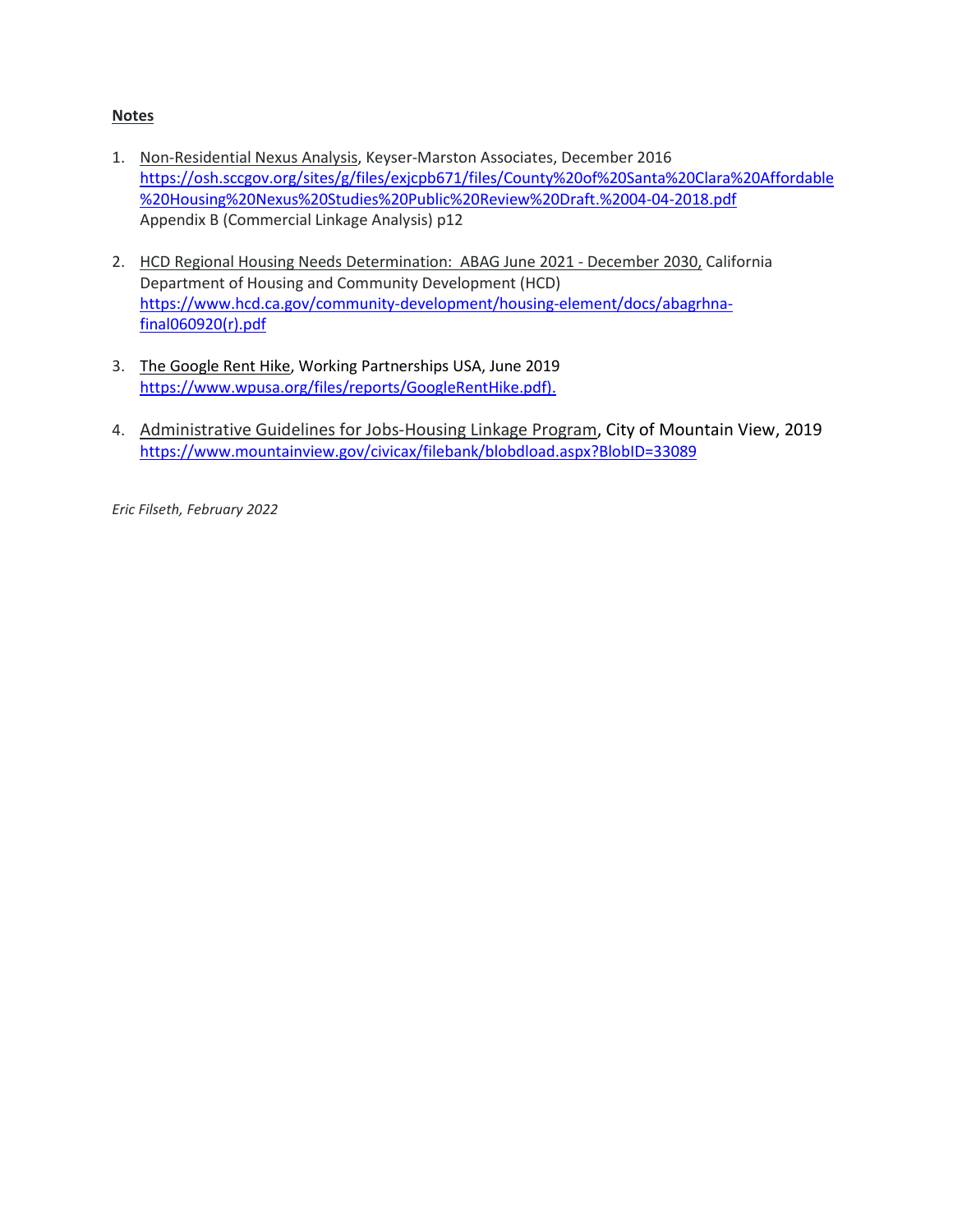# **Notes**

- 1. Non-Residential Nexus Analysis, Keyser-Marston Associates, December 2016 [https://osh.sccgov.org/sites/g/files/exjcpb671/files/County%20of%20Santa%20Clara%20Affordable](https://osh.sccgov.org/sites/g/files/exjcpb671/files/County%20of%20Santa%20Clara%20Affordable%20Housing%20Nexus%20Studies%20Public%20Review%20Draft.%2004-04-2018.pdf) [%20Housing%20Nexus%20Studies%20Public%20Review%20Draft.%2004-04-2018.pdf](https://osh.sccgov.org/sites/g/files/exjcpb671/files/County%20of%20Santa%20Clara%20Affordable%20Housing%20Nexus%20Studies%20Public%20Review%20Draft.%2004-04-2018.pdf) Appendix B (Commercial Linkage Analysis) p12
- 2. HCD Regional Housing Needs Determination: ABAG June 2021 December 2030, California Department of Housing and Community Development (HCD) [https://www.hcd.ca.gov/community-development/housing-element/docs/abagrhna](https://www.hcd.ca.gov/community-development/housing-element/docs/abagrhna-final060920(r).pdf)[final060920\(r\).pdf](https://www.hcd.ca.gov/community-development/housing-element/docs/abagrhna-final060920(r).pdf)
- 3. The Google Rent Hike, Working Partnerships USA, June 2019 [https://www.wpusa.org/files/reports/GoogleRentHike.pdf\)](https://www.wpusa.org/files/reports/GoogleRentHike.pdf).
- 4. [Administrative Guidelines for Jobs-Housing Linkage Program,](https://www.mountainview.gov/civicax/filebank/blobdload.aspx?BlobID=33089) City of Mountain View, 2019 <https://www.mountainview.gov/civicax/filebank/blobdload.aspx?BlobID=33089>

*Eric Filseth, February 2022*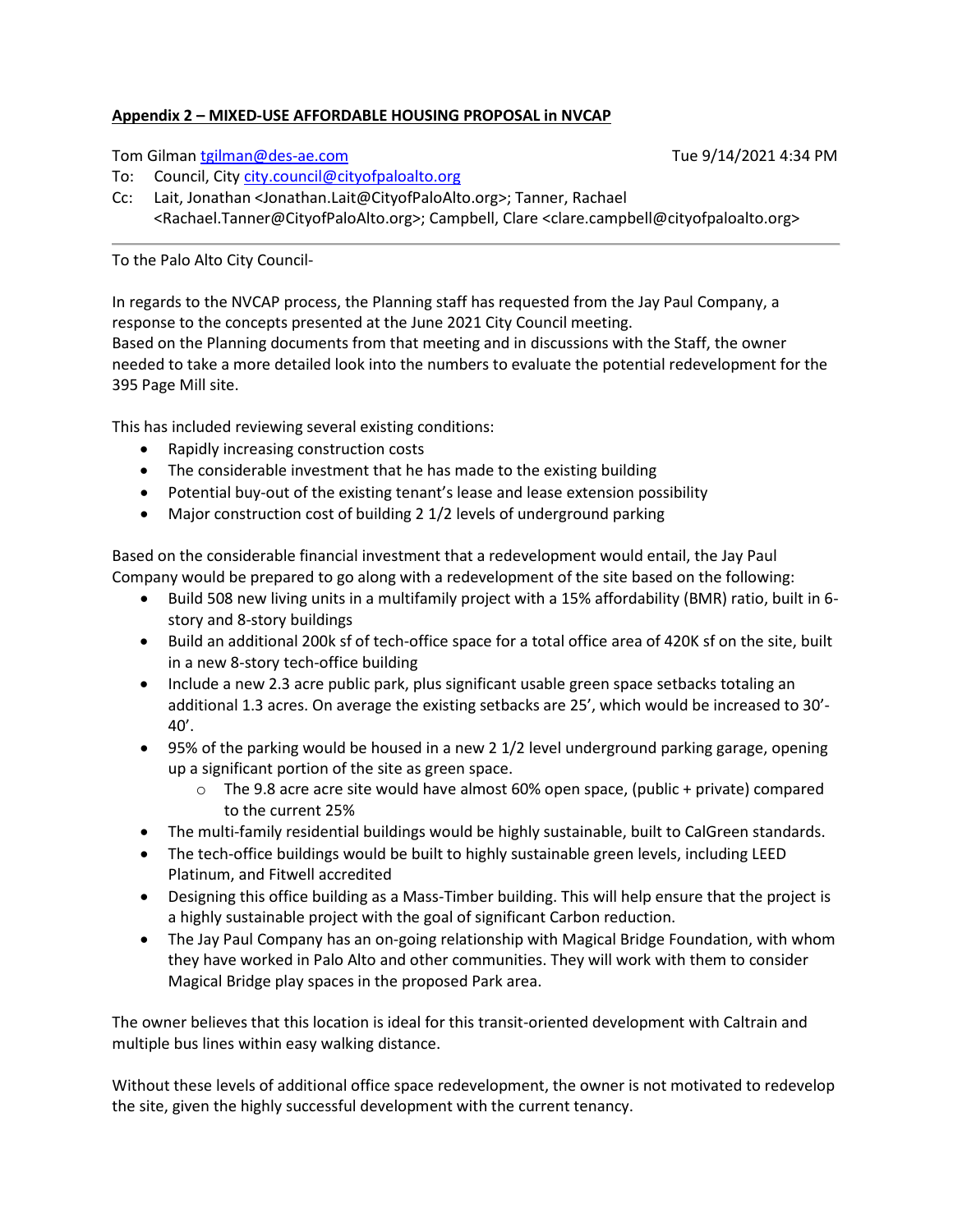## **Appendix 2 – MIXED-USE AFFORDABLE HOUSING PROPOSAL in NVCAP**

## Tom Gilma[n tgilman@des-ae.com](mailto:tgilman@des-ae.com) Tue 9/14/2021 4:34 PM

To: Council, Cit[y city.council@cityofpaloalto.org](mailto:city.council@cityofpaloalto.org)

Cc: Lait, Jonathan <Jonathan.Lait@CityofPaloAlto.org>; Tanner, Rachael <Rachael.Tanner@CityofPaloAlto.org>; Campbell, Clare <clare.campbell@cityofpaloalto.org>

# To the Palo Alto City Council-

In regards to the NVCAP process, the Planning staff has requested from the Jay Paul Company, a response to the concepts presented at the June 2021 City Council meeting. Based on the Planning documents from that meeting and in discussions with the Staff, the owner needed to take a more detailed look into the numbers to evaluate the potential redevelopment for the 395 Page Mill site.

This has included reviewing several existing conditions:

- Rapidly increasing construction costs
- The considerable investment that he has made to the existing building
- Potential buy-out of the existing tenant's lease and lease extension possibility
- Major construction cost of building 2 1/2 levels of underground parking

Based on the considerable financial investment that a redevelopment would entail, the Jay Paul Company would be prepared to go along with a redevelopment of the site based on the following:

- Build 508 new living units in a multifamily project with a 15% affordability (BMR) ratio, built in 6 story and 8-story buildings
- Build an additional 200k sf of tech-office space for a total office area of 420K sf on the site, built in a new 8-story tech-office building
- Include a new 2.3 acre public park, plus significant usable green space setbacks totaling an additional 1.3 acres. On average the existing setbacks are 25', which would be increased to 30'- 40'.
- 95% of the parking would be housed in a new 2 1/2 level underground parking garage, opening up a significant portion of the site as green space.
	- $\circ$  The 9.8 acre acre site would have almost 60% open space, (public + private) compared to the current 25%
- The multi-family residential buildings would be highly sustainable, built to CalGreen standards.
- The tech-office buildings would be built to highly sustainable green levels, including LEED Platinum, and Fitwell accredited
- Designing this office building as a Mass-Timber building. This will help ensure that the project is a highly sustainable project with the goal of significant Carbon reduction.
- The Jay Paul Company has an on-going relationship with Magical Bridge Foundation, with whom they have worked in Palo Alto and other communities. They will work with them to consider Magical Bridge play spaces in the proposed Park area.

The owner believes that this location is ideal for this transit-oriented development with Caltrain and multiple bus lines within easy walking distance.

Without these levels of additional office space redevelopment, the owner is not motivated to redevelop the site, given the highly successful development with the current tenancy.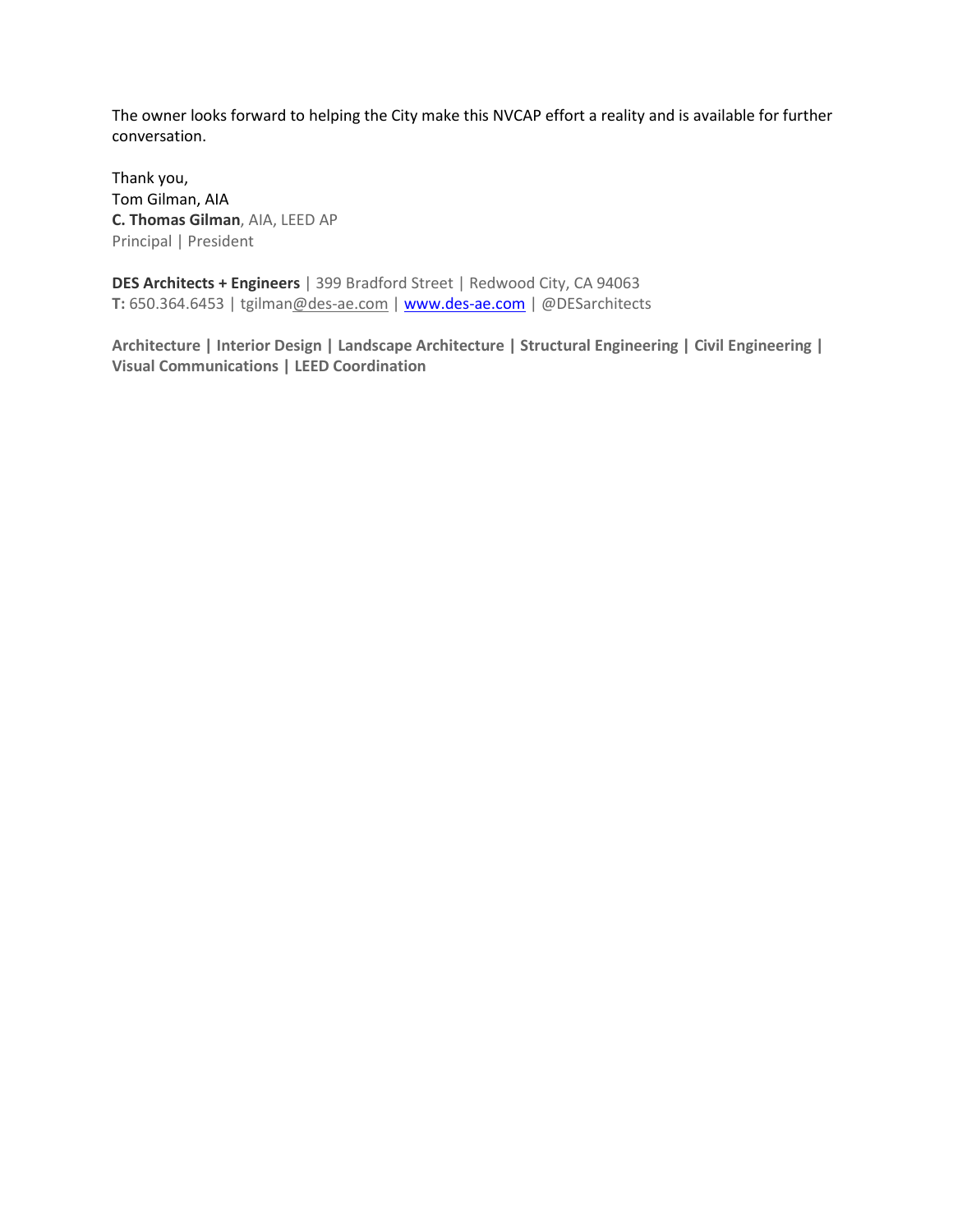The owner looks forward to helping the City make this NVCAP effort a reality and is available for further conversation.

Thank you, Tom Gilman, AIA **C. Thomas Gilman**, AIA, LEED AP Principal | President

**DES Architects + Engineers** | 399 Bradford Street | Redwood City, CA 94063 **T:** 650.364.6453 | tgilma[n@des-ae.com](http://des-ae.com/) [| www.des-ae.com](http://www.des-ae.com/) | @DESarchitects

**Architecture | Interior Design | Landscape Architecture | Structural Engineering | Civil Engineering | Visual Communications | LEED Coordination**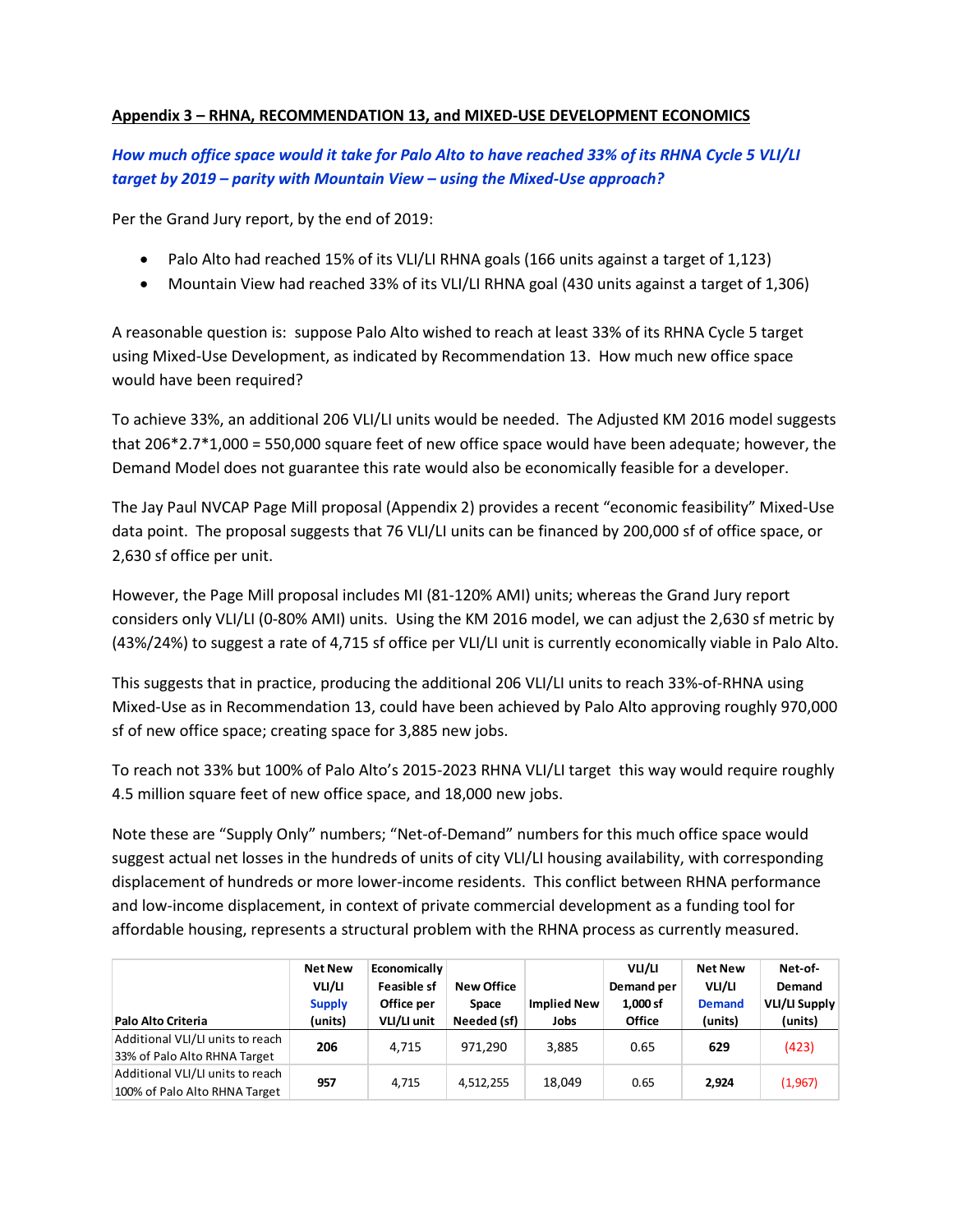# **Appendix 3 – RHNA, RECOMMENDATION 13, and MIXED-USE DEVELOPMENT ECONOMICS**

*How much office space would it take for Palo Alto to have reached 33% of its RHNA Cycle 5 VLI/LI target by 2019 – parity with Mountain View – using the Mixed-Use approach?*

Per the Grand Jury report, by the end of 2019:

- Palo Alto had reached 15% of its VLI/LI RHNA goals (166 units against a target of 1,123)
- Mountain View had reached 33% of its VLI/LI RHNA goal (430 units against a target of 1,306)

A reasonable question is: suppose Palo Alto wished to reach at least 33% of its RHNA Cycle 5 target using Mixed-Use Development, as indicated by Recommendation 13. How much new office space would have been required?

To achieve 33%, an additional 206 VLI/LI units would be needed. The Adjusted KM 2016 model suggests that 206\*2.7\*1,000 = 550,000 square feet of new office space would have been adequate; however, the Demand Model does not guarantee this rate would also be economically feasible for a developer.

The Jay Paul NVCAP Page Mill proposal (Appendix 2) provides a recent "economic feasibility" Mixed-Use data point. The proposal suggests that 76 VLI/LI units can be financed by 200,000 sf of office space, or 2,630 sf office per unit.

However, the Page Mill proposal includes MI (81-120% AMI) units; whereas the Grand Jury report considers only VLI/LI (0-80% AMI) units. Using the KM 2016 model, we can adjust the 2,630 sf metric by (43%/24%) to suggest a rate of 4,715 sf office per VLI/LI unit is currently economically viable in Palo Alto.

This suggests that in practice, producing the additional 206 VLI/LI units to reach 33%-of-RHNA using Mixed-Use as in Recommendation 13, could have been achieved by Palo Alto approving roughly 970,000 sf of new office space; creating space for 3,885 new jobs.

To reach not 33% but 100% of Palo Alto's 2015-2023 RHNA VLI/LI target this way would require roughly 4.5 million square feet of new office space, and 18,000 new jobs.

Note these are "Supply Only" numbers; "Net-of-Demand" numbers for this much office space would suggest actual net losses in the hundreds of units of city VLI/LI housing availability, with corresponding displacement of hundreds or more lower-income residents. This conflict between RHNA performance and low-income displacement, in context of private commercial development as a funding tool for affordable housing, represents a structural problem with the RHNA process as currently measured.

| Palo Alto Criteria                                                | <b>Net New</b><br>VLI/LI<br><b>Supply</b><br>(units) | Economically<br><b>Feasible sf</b><br>Office per<br>VLI/LI unit | <b>New Office</b><br><b>Space</b><br>Needed (sf) | <b>Implied New</b><br>Jobs | VLI/LI<br>Demand per<br>1,000 sf<br><b>Office</b> | <b>Net New</b><br>VLI/LI<br><b>Demand</b><br>(units) | Net-of-<br>Demand<br><b>VLI/LI Supply</b><br>(units) |
|-------------------------------------------------------------------|------------------------------------------------------|-----------------------------------------------------------------|--------------------------------------------------|----------------------------|---------------------------------------------------|------------------------------------------------------|------------------------------------------------------|
| Additional VLI/LI units to reach<br>33% of Palo Alto RHNA Target  | 206                                                  | 4,715                                                           | 971.290                                          | 3,885                      | 0.65                                              | 629                                                  | (423)                                                |
| Additional VLI/LI units to reach<br>100% of Palo Alto RHNA Target | 957                                                  | 4.715                                                           | 4,512,255                                        | 18,049                     | 0.65                                              | 2,924                                                | (1,967)                                              |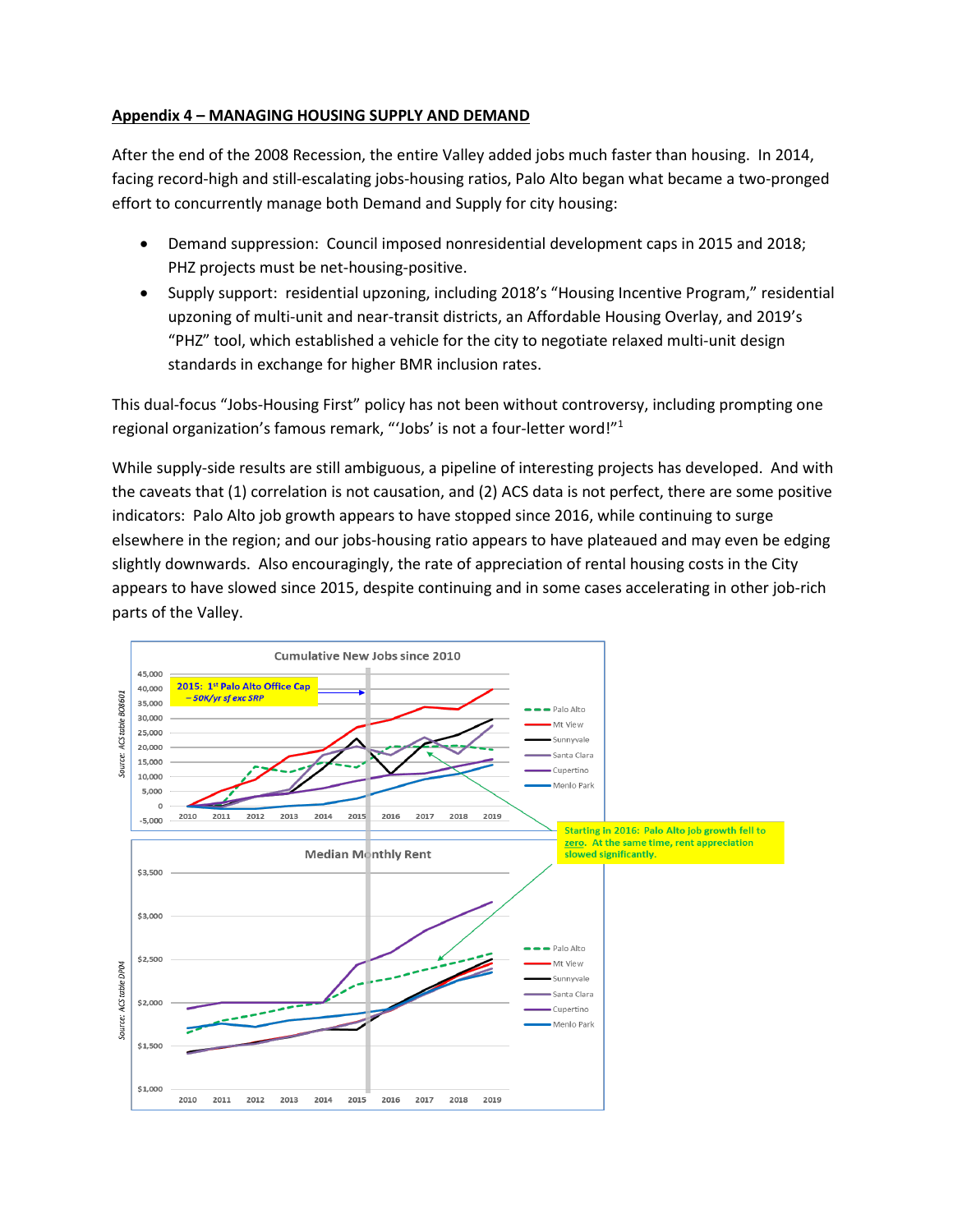## **Appendix 4 – MANAGING HOUSING SUPPLY AND DEMAND**

After the end of the 2008 Recession, the entire Valley added jobs much faster than housing. In 2014, facing record-high and still-escalating jobs-housing ratios, Palo Alto began what became a two-pronged effort to concurrently manage both Demand and Supply for city housing:

- Demand suppression: Council imposed nonresidential development caps in 2015 and 2018; PHZ projects must be net-housing-positive.
- Supply support: residential upzoning, including 2018's "Housing Incentive Program," residential upzoning of multi-unit and near-transit districts, an Affordable Housing Overlay, and 2019's "PHZ" tool, which established a vehicle for the city to negotiate relaxed multi-unit design standards in exchange for higher BMR inclusion rates.

This dual-focus "Jobs-Housing First" policy has not been without controversy, including prompting one regional organization's famous remark, "'Jobs' is not a four-letter word!"1

While supply-side results are still ambiguous, a pipeline of interesting projects has developed. And with the caveats that (1) correlation is not causation, and (2) ACS data is not perfect, there are some positive indicators: Palo Alto job growth appears to have stopped since 2016, while continuing to surge elsewhere in the region; and our jobs-housing ratio appears to have plateaued and may even be edging slightly downwards. Also encouragingly, the rate of appreciation of rental housing costs in the City appears to have slowed since 2015, despite continuing and in some cases accelerating in other job-rich parts of the Valley.